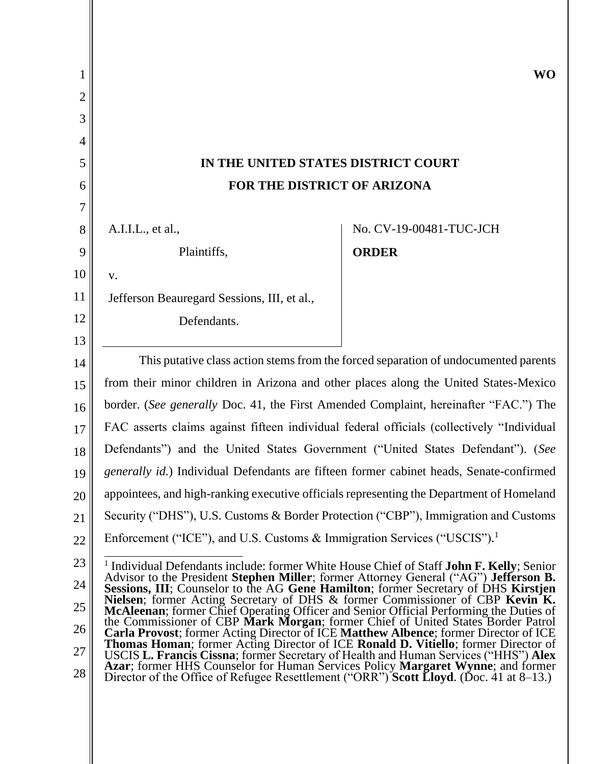| 1              |                                                                                                                                                                            | <b>WO</b>               |  |
|----------------|----------------------------------------------------------------------------------------------------------------------------------------------------------------------------|-------------------------|--|
| $\overline{2}$ |                                                                                                                                                                            |                         |  |
| 3              |                                                                                                                                                                            |                         |  |
| 4              |                                                                                                                                                                            |                         |  |
| 5              | IN THE UNITED STATES DISTRICT COURT                                                                                                                                        |                         |  |
| 6              | FOR THE DISTRICT OF ARIZONA                                                                                                                                                |                         |  |
| 7              |                                                                                                                                                                            |                         |  |
| 8              | A.I.I.L., et al.,                                                                                                                                                          | No. CV-19-00481-TUC-JCH |  |
| 9              | Plaintiffs,                                                                                                                                                                | <b>ORDER</b>            |  |
| 10             | V.                                                                                                                                                                         |                         |  |
| 11             | Jefferson Beauregard Sessions, III, et al.,                                                                                                                                |                         |  |
| 12             | Defendants.                                                                                                                                                                |                         |  |
| 13             |                                                                                                                                                                            |                         |  |
| 14             | This putative class action stems from the forced separation of undocumented parents                                                                                        |                         |  |
| 15             | from their minor children in Arizona and other places along the United States-Mexico                                                                                       |                         |  |
| 16             | border. (See generally Doc. 41, the First Amended Complaint, hereinafter "FAC.") The                                                                                       |                         |  |
| 17             | FAC asserts claims against fifteen individual federal officials (collectively "Individual                                                                                  |                         |  |
| 18             | Defendants") and the United States Government ("United States Defendant"). (See                                                                                            |                         |  |
| 19             | generally id.) Individual Defendants are fifteen former cabinet heads, Senate-confirmed                                                                                    |                         |  |
| 20             | appointees, and high-ranking executive officials representing the Department of Homeland                                                                                   |                         |  |
| 21             | Security ("DHS"), U.S. Customs & Border Protection ("CBP"), Immigration and Customs                                                                                        |                         |  |
| 22             | Enforcement ("ICE"), and U.S. Customs & Immigration Services ("USCIS").                                                                                                    |                         |  |
| 23             | <sup>1</sup> Individual Defendants include: former White House Chief of Staff <b>John F. Kelly</b> ; Senior                                                                |                         |  |
| 24             | Advisor to the President Stephen Miller; former Attorney General ("AG") Jefferson B.<br>Sessions, III; Counselor to the AG Gene Hamilton; former Secretary of DHS Kirstjen |                         |  |
| 25             | Nielsen; former Acting Secretary of DHS & former Commissioner of CBP Kevin K.<br>McAleenan; former Chief Operating Officer and Senior Official Performing the Duties of    |                         |  |
| 26             | the Commissioner of CBP Mark Morgan; former Chief of United States Border Patrol<br>Carla Provost; former Acting Director of ICE Matthew Albence; former Director of ICE   |                         |  |
| 27             | Thomas Homan; former Acting Director of ICE Ronald D. Vitiello; former Director of<br>USCIS L. Francis Cissna; former Secretary of Health and Human Services ("HHS") Alex  |                         |  |
| 28             | Azar; former HHS Counselor for Human Services Policy Margaret Wynne; and former<br>Director of the Office of Refugee Resettlement ("ORR") Scott Lloyd. (Doc. 41 at 8–13.)  |                         |  |
|                |                                                                                                                                                                            |                         |  |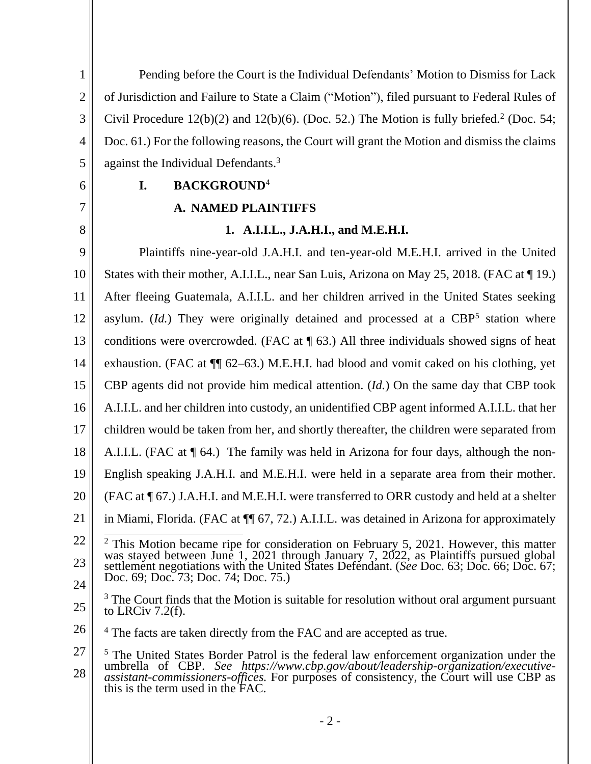- 2 - 1 2 3 4 5 6 7 8 9 10 11 12 13 14 15 16 17 18 19 20 21 22 23 24 25 26 27 28 Pending before the Court is the Individual Defendants' Motion to Dismiss for Lack of Jurisdiction and Failure to State a Claim ("Motion"), filed pursuant to Federal Rules of Civil Procedure  $12(b)(2)$  and  $12(b)(6)$ . (Doc. 52.) The Motion is fully briefed.<sup>2</sup> (Doc. 54; Doc. 61.) For the following reasons, the Court will grant the Motion and dismiss the claims against the Individual Defendants.<sup>3</sup> **I. BACKGROUND**<sup>4</sup> **A. NAMED PLAINTIFFS 1. A.I.I.L., J.A.H.I., and M.E.H.I.** Plaintiffs nine-year-old J.A.H.I. and ten-year-old M.E.H.I. arrived in the United States with their mother, A.I.I.L., near San Luis, Arizona on May 25, 2018. (FAC at ¶ 19.) After fleeing Guatemala, A.I.I.L. and her children arrived in the United States seeking asylum.  $(Id.)$  They were originally detained and processed at a  $CBP<sup>5</sup>$  station where conditions were overcrowded. (FAC at  $\P$  63.) All three individuals showed signs of heat exhaustion. (FAC at ¶¶ 62–63.) M.E.H.I. had blood and vomit caked on his clothing, yet CBP agents did not provide him medical attention. (*Id.*) On the same day that CBP took A.I.I.L. and her children into custody, an unidentified CBP agent informed A.I.I.L. that her children would be taken from her, and shortly thereafter, the children were separated from A.I.I.L. (FAC at ¶ 64.) The family was held in Arizona for four days, although the non-English speaking J.A.H.I. and M.E.H.I. were held in a separate area from their mother. (FAC at ¶ 67.) J.A.H.I. and M.E.H.I. were transferred to ORR custody and held at a shelter in Miami, Florida. (FAC at ¶¶ 67, 72.) A.I.I.L. was detained in Arizona for approximately  $2$  This Motion became ripe for consideration on February 5, 2021. However, this matter was stayed between June 1, 2021 through January 7, 2022, as Plaintiffs pursued global settlement negotiations with the United States Defendant. (*See* Doc. 63; Doc. 66; Doc. 67; Doc. 69; Doc. 73; Doc. 74; Doc. 75.)  $3$  The Court finds that the Motion is suitable for resolution without oral argument pursuant to LRCiv 7.2(f). <sup>4</sup> The facts are taken directly from the FAC and are accepted as true. <sup>5</sup> The United States Border Patrol is the federal law enforcement organization under the umbrella of CBP. *See https://www.cbp.gov/about/leadership-organization/executiveassistant-commissioners-offices.* For purposes of consistency, the Court will use CBP as this is the term used in the FAC.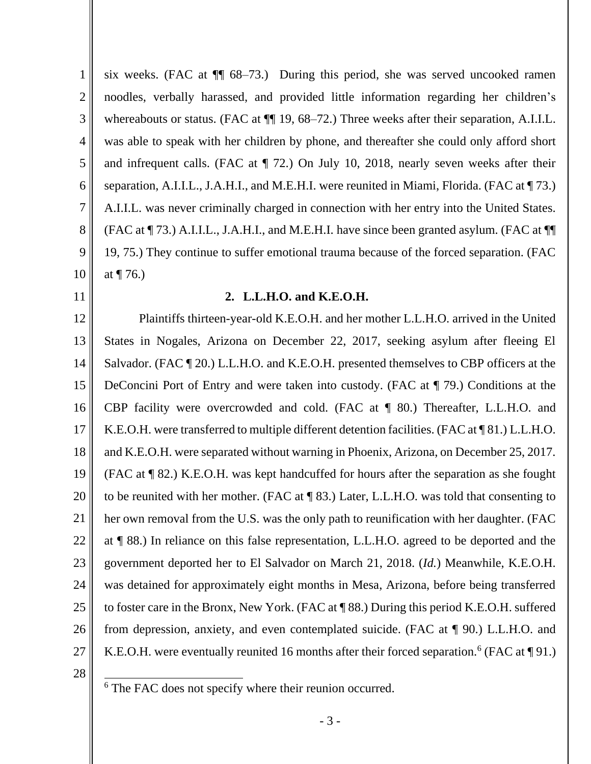1 2 3 4 5 6 7 8 9 10 six weeks. (FAC at ¶¶ 68–73.) During this period, she was served uncooked ramen noodles, verbally harassed, and provided little information regarding her children's whereabouts or status. (FAC at  $\P$  19, 68–72.) Three weeks after their separation, A.I.I.L. was able to speak with her children by phone, and thereafter she could only afford short and infrequent calls. (FAC at ¶ 72.) On July 10, 2018, nearly seven weeks after their separation, A.I.I.L., J.A.H.I., and M.E.H.I. were reunited in Miami, Florida. (FAC at  $\P$  73.) A.I.I.L. was never criminally charged in connection with her entry into the United States. (FAC at ¶ 73.) A.I.I.L., J.A.H.I., and M.E.H.I. have since been granted asylum. (FAC at ¶¶ 19, 75.) They continue to suffer emotional trauma because of the forced separation. (FAC at  $\P$  76.)

11

#### 12

#### **2. L.L.H.O. and K.E.O.H.**

13 14 15 16 17 18 19 20 21 22 23 24 25 26 27 Plaintiffs thirteen-year-old K.E.O.H. and her mother L.L.H.O. arrived in the United States in Nogales, Arizona on December 22, 2017, seeking asylum after fleeing El Salvador. (FAC  $\P$  20.) L.L.H.O. and K.E.O.H. presented themselves to CBP officers at the DeConcini Port of Entry and were taken into custody. (FAC at ¶ 79.) Conditions at the CBP facility were overcrowded and cold. (FAC at ¶ 80.) Thereafter, L.L.H.O. and K.E.O.H. were transferred to multiple different detention facilities. (FAC at ¶ 81.) L.L.H.O. and K.E.O.H. were separated without warning in Phoenix, Arizona, on December 25, 2017. (FAC at ¶ 82.) K.E.O.H. was kept handcuffed for hours after the separation as she fought to be reunited with her mother. (FAC at ¶ 83.) Later, L.L.H.O. was told that consenting to her own removal from the U.S. was the only path to reunification with her daughter. (FAC at ¶ 88.) In reliance on this false representation, L.L.H.O. agreed to be deported and the government deported her to El Salvador on March 21, 2018. (*Id.*) Meanwhile, K.E.O.H. was detained for approximately eight months in Mesa, Arizona, before being transferred to foster care in the Bronx, New York. (FAC at ¶ 88.) During this period K.E.O.H. suffered from depression, anxiety, and even contemplated suicide. (FAC at ¶ 90.) L.L.H.O. and K.E.O.H. were eventually reunited 16 months after their forced separation.<sup>6</sup> (FAC at  $\P$ 91.)

<sup>&</sup>lt;sup>6</sup> The FAC does not specify where their reunion occurred.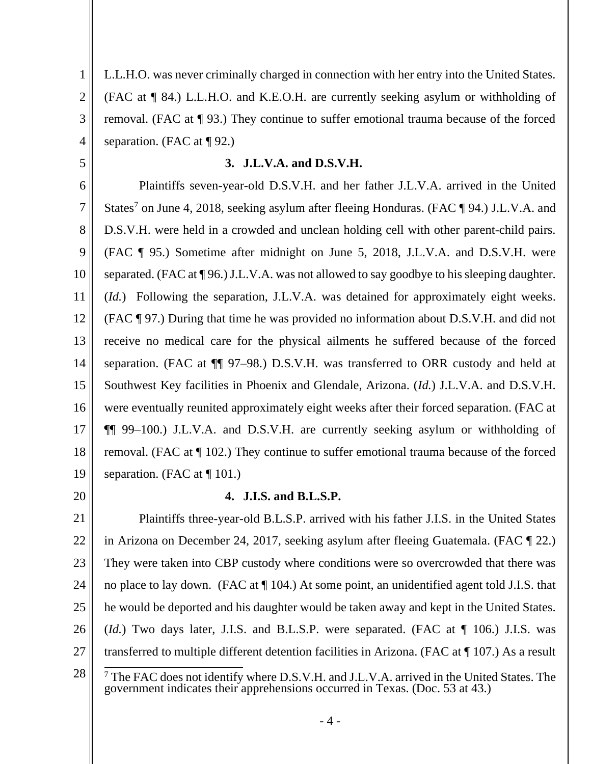L.L.H.O. was never criminally charged in connection with her entry into the United States. (FAC at ¶ 84.) L.L.H.O. and K.E.O.H. are currently seeking asylum or withholding of removal. (FAC at ¶ 93.) They continue to suffer emotional trauma because of the forced separation. (FAC at  $\P$  92.)

**3. J.L.V.A. and D.S.V.H.**

6 7 8 9 10 11 12 13 14 15 16 17 18 19 Plaintiffs seven-year-old D.S.V.H. and her father J.L.V.A. arrived in the United States<sup>7</sup> on June 4, 2018, seeking asylum after fleeing Honduras. (FAC  $\P$  94.) J.L.V.A. and D.S.V.H. were held in a crowded and unclean holding cell with other parent-child pairs. (FAC ¶ 95.) Sometime after midnight on June 5, 2018, J.L.V.A. and D.S.V.H. were separated. (FAC at ¶ 96.) J.L.V.A. was not allowed to say goodbye to his sleeping daughter. (*Id.*) Following the separation, J.L.V.A. was detained for approximately eight weeks. (FAC ¶ 97.) During that time he was provided no information about D.S.V.H. and did not receive no medical care for the physical ailments he suffered because of the forced separation. (FAC at ¶¶ 97–98.) D.S.V.H. was transferred to ORR custody and held at Southwest Key facilities in Phoenix and Glendale, Arizona. (*Id.*) J.L.V.A. and D.S.V.H. were eventually reunited approximately eight weeks after their forced separation. (FAC at ¶¶ 99–100.) J.L.V.A. and D.S.V.H. are currently seeking asylum or withholding of removal. (FAC at ¶ 102.) They continue to suffer emotional trauma because of the forced separation. (FAC at  $\P$  101.)

20

1

2

3

4

5

## **4. J.I.S. and B.L.S.P.**

21 22 23 24 25 26 27 Plaintiffs three-year-old B.L.S.P. arrived with his father J.I.S. in the United States in Arizona on December 24, 2017, seeking asylum after fleeing Guatemala. (FAC ¶ 22.) They were taken into CBP custody where conditions were so overcrowded that there was no place to lay down. (FAC at ¶ 104.) At some point, an unidentified agent told J.I.S. that he would be deported and his daughter would be taken away and kept in the United States. (*Id.*) Two days later, J.I.S. and B.L.S.P. were separated. (FAC at ¶ 106.) J.I.S. was transferred to multiple different detention facilities in Arizona. (FAC at ¶ 107.) As a result

<sup>28</sup>  $7$  The FAC does not identify where D.S.V.H. and J.L.V.A. arrived in the United States. The government indicates their apprehensions occurred in Texas. (Doc. 53 at 43.)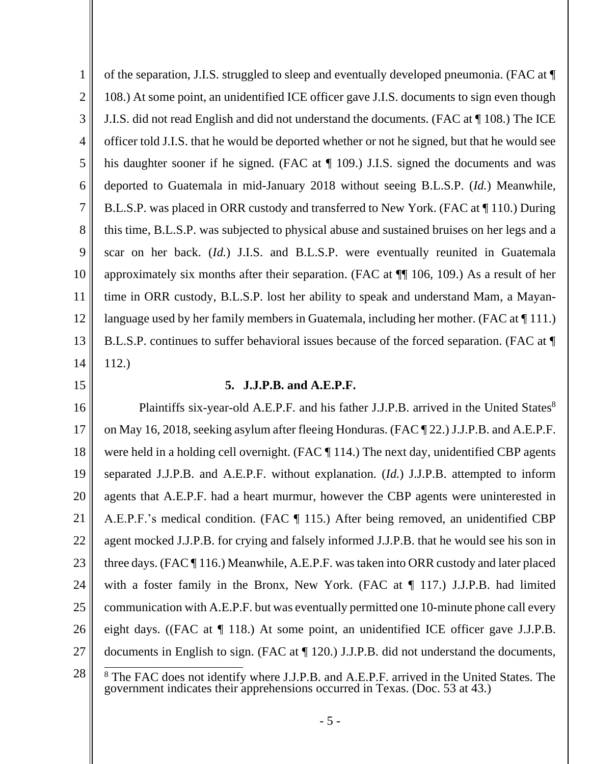1 2 3 4 5 6 7 8 9 10 11 12 13 14 15 of the separation, J.I.S. struggled to sleep and eventually developed pneumonia. (FAC at ¶ 108.) At some point, an unidentified ICE officer gave J.I.S. documents to sign even though J.I.S. did not read English and did not understand the documents. (FAC at ¶ 108.) The ICE officer told J.I.S. that he would be deported whether or not he signed, but that he would see his daughter sooner if he signed. (FAC at  $\P$  109.) J.I.S. signed the documents and was deported to Guatemala in mid-January 2018 without seeing B.L.S.P. (*Id.*) Meanwhile, B.L.S.P. was placed in ORR custody and transferred to New York. (FAC at ¶ 110.) During this time, B.L.S.P. was subjected to physical abuse and sustained bruises on her legs and a scar on her back. (*Id.*) J.I.S. and B.L.S.P. were eventually reunited in Guatemala approximately six months after their separation. (FAC at ¶¶ 106, 109.) As a result of her time in ORR custody, B.L.S.P. lost her ability to speak and understand Mam, a Mayanlanguage used by her family members in Guatemala, including her mother. (FAC at  $\P$  111.) B.L.S.P. continues to suffer behavioral issues because of the forced separation. (FAC at ¶ 112.) **5. J.J.P.B. and A.E.P.F.**

16 17 18 19 20 21 22 23 24 25 26 27 Plaintiffs six-year-old A.E.P.F. and his father J.J.P.B. arrived in the United States<sup>8</sup> on May 16, 2018, seeking asylum after fleeing Honduras. (FAC ¶ 22.) J.J.P.B. and A.E.P.F. were held in a holding cell overnight. (FAC ¶ 114.) The next day, unidentified CBP agents separated J.J.P.B. and A.E.P.F. without explanation. (*Id.*) J.J.P.B. attempted to inform agents that A.E.P.F. had a heart murmur, however the CBP agents were uninterested in A.E.P.F.'s medical condition. (FAC ¶ 115.) After being removed, an unidentified CBP agent mocked J.J.P.B. for crying and falsely informed J.J.P.B. that he would see his son in three days. (FAC ¶ 116.) Meanwhile, A.E.P.F. was taken into ORR custody and later placed with a foster family in the Bronx, New York. (FAC at ¶ 117.) J.J.P.B. had limited communication with A.E.P.F. but was eventually permitted one 10-minute phone call every eight days. ((FAC at ¶ 118.) At some point, an unidentified ICE officer gave J.J.P.B. documents in English to sign. (FAC at ¶ 120.) J.J.P.B. did not understand the documents,

<sup>28</sup> <sup>8</sup> The FAC does not identify where J.J.P.B. and A.E.P.F. arrived in the United States. The government indicates their apprehensions occurred in Texas. (Doc. 53 at 43.)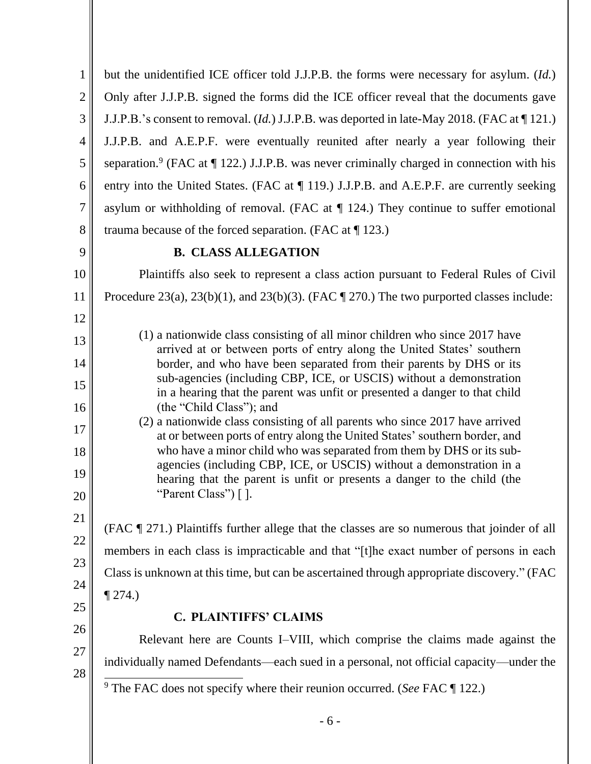| $\mathbf{1}$   | but the unidentified ICE officer told J.J.P.B. the forms were necessary for asylum. (Id.)                                                                                                                                           |
|----------------|-------------------------------------------------------------------------------------------------------------------------------------------------------------------------------------------------------------------------------------|
| $\overline{2}$ | Only after J.J.P.B. signed the forms did the ICE officer reveal that the documents gave                                                                                                                                             |
| 3              | J.J.P.B.'s consent to removal. ( <i>Id.</i> ) J.J.P.B. was deported in late-May 2018. (FAC at 1121.)                                                                                                                                |
| $\overline{4}$ | J.J.P.B. and A.E.P.F. were eventually reunited after nearly a year following their                                                                                                                                                  |
| 5              | separation. <sup>9</sup> (FAC at $\P$ 122.) J.J.P.B. was never criminally charged in connection with his                                                                                                                            |
| 6              | entry into the United States. (FAC at ¶ 119.) J.J.P.B. and A.E.P.F. are currently seeking                                                                                                                                           |
| $\overline{7}$ | asylum or withholding of removal. (FAC at $\P$ 124.) They continue to suffer emotional                                                                                                                                              |
| 8              | trauma because of the forced separation. (FAC at $\P$ 123.)                                                                                                                                                                         |
| 9              | <b>B. CLASS ALLEGATION</b>                                                                                                                                                                                                          |
| 10             | Plaintiffs also seek to represent a class action pursuant to Federal Rules of Civil                                                                                                                                                 |
| 11             | Procedure 23(a), 23(b)(1), and 23(b)(3). (FAC $\P$ 270.) The two purported classes include:                                                                                                                                         |
| 12             |                                                                                                                                                                                                                                     |
| 13             | (1) a nationwide class consisting of all minor children who since 2017 have<br>arrived at or between ports of entry along the United States' southern                                                                               |
| 14             | border, and who have been separated from their parents by DHS or its                                                                                                                                                                |
| 15             | sub-agencies (including CBP, ICE, or USCIS) without a demonstration<br>in a hearing that the parent was unfit or presented a danger to that child                                                                                   |
| 16             | (the "Child Class"); and                                                                                                                                                                                                            |
| 17<br>18       | (2) a nationwide class consisting of all parents who since 2017 have arrived<br>at or between ports of entry along the United States' southern border, and<br>who have a minor child who was separated from them by DHS or its sub- |
| 19             | agencies (including CBP, ICE, or USCIS) without a demonstration in a                                                                                                                                                                |
| 20             | hearing that the parent is unfit or presents a danger to the child (the<br>"Parent Class") $\lceil \cdot \rceil$ .                                                                                                                  |
| 21             |                                                                                                                                                                                                                                     |
| 22             | (FAC ¶ 271.) Plaintiffs further allege that the classes are so numerous that joinder of all                                                                                                                                         |
| 23             | members in each class is impracticable and that "[t]he exact number of persons in each                                                                                                                                              |
| 24             | Class is unknown at this time, but can be ascertained through appropriate discovery." (FAC                                                                                                                                          |
| 25             | $\P$ 274.)                                                                                                                                                                                                                          |
| 26             | <b>C. PLAINTIFFS' CLAIMS</b>                                                                                                                                                                                                        |
| 27             | Relevant here are Counts I–VIII, which comprise the claims made against the                                                                                                                                                         |
| 28             | individually named Defendants—each sued in a personal, not official capacity—under the                                                                                                                                              |
|                | <sup>9</sup> The FAC does not specify where their reunion occurred. (See FAC $\P$ 122.)                                                                                                                                             |
|                | $-6-$                                                                                                                                                                                                                               |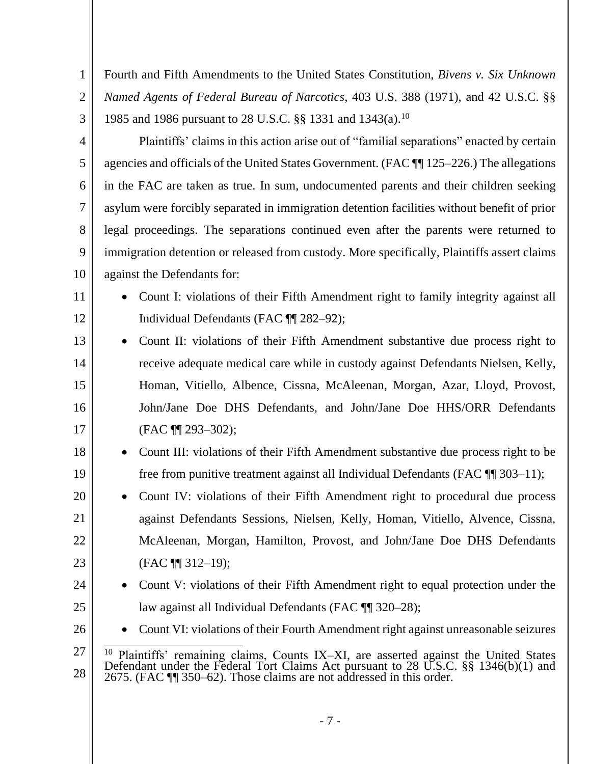Fourth and Fifth Amendments to the United States Constitution, *Bivens v. Six Unknown Named Agents of Federal Bureau of Narcotics*, 403 U.S. 388 (1971), and 42 U.S.C. §§ 1985 and 1986 pursuant to 28 U.S.C. §§ 1331 and 1343(a).<sup>10</sup>

1

2

3

4

5

6

7

8

9

10

11

12

Plaintiffs' claims in this action arise out of "familial separations" enacted by certain agencies and officials of the United States Government. (FAC ¶¶ 125–226.) The allegations in the FAC are taken as true. In sum, undocumented parents and their children seeking asylum were forcibly separated in immigration detention facilities without benefit of prior legal proceedings. The separations continued even after the parents were returned to immigration detention or released from custody. More specifically, Plaintiffs assert claims against the Defendants for:

- Count I: violations of their Fifth Amendment right to family integrity against all Individual Defendants (FAC ¶¶ 282–92);
- 13 14 15 16 17 • Count II: violations of their Fifth Amendment substantive due process right to receive adequate medical care while in custody against Defendants Nielsen, Kelly, Homan, Vitiello, Albence, Cissna, McAleenan, Morgan, Azar, Lloyd, Provost, John/Jane Doe DHS Defendants, and John/Jane Doe HHS/ORR Defendants (FAC ¶¶ 293–302);
- 18 19 • Count III: violations of their Fifth Amendment substantive due process right to be free from punitive treatment against all Individual Defendants (FAC ¶¶ 303–11);
- 20 21 22 23 • Count IV: violations of their Fifth Amendment right to procedural due process against Defendants Sessions, Nielsen, Kelly, Homan, Vitiello, Alvence, Cissna, McAleenan, Morgan, Hamilton, Provost, and John/Jane Doe DHS Defendants (FAC ¶¶ 312–19);
- 24 25 • Count V: violations of their Fifth Amendment right to equal protection under the law against all Individual Defendants (FAC ¶ 320–28);
- 26 • Count VI: violations of their Fourth Amendment right against unreasonable seizures

- 7 -

<sup>27</sup> 28 <sup>10</sup> Plaintiffs' remaining claims, Counts IX-XI, are asserted against the United States Defendant under the Federal Tort Claims Act pursuant to 28 U.S.C. §§ 1346(b)(1) and 2675. (FAC ¶¶ 350–62). Those claims are not addressed in this order.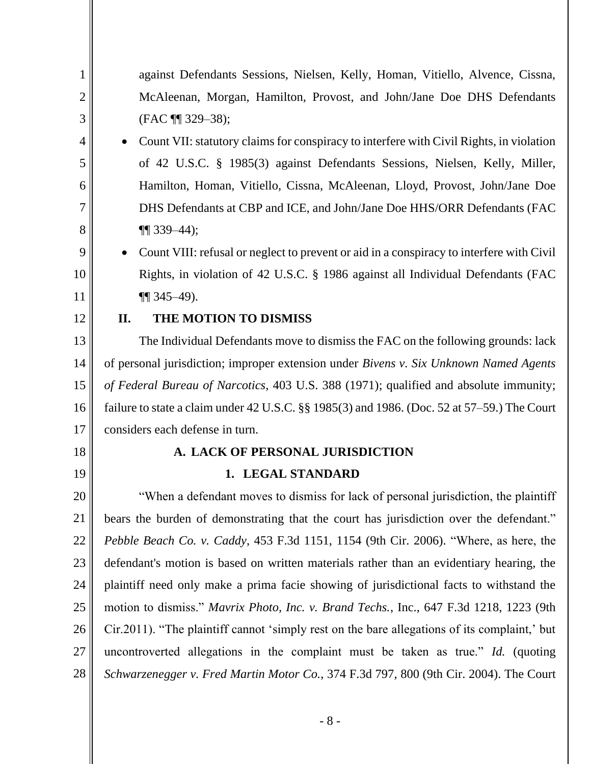| 1              | against Defendants Sessions, Nielsen, Kelly, Homan, Vitiello, Alvence, Cissna,                |
|----------------|-----------------------------------------------------------------------------------------------|
| $\overline{2}$ | McAleenan, Morgan, Hamilton, Provost, and John/Jane Doe DHS Defendants                        |
| 3              | (FAC $\P$ 329-38);                                                                            |
| 4              | Count VII: statutory claims for conspiracy to interfere with Civil Rights, in violation       |
| 5              | of 42 U.S.C. § 1985(3) against Defendants Sessions, Nielsen, Kelly, Miller,                   |
| 6              | Hamilton, Homan, Vitiello, Cissna, McAleenan, Lloyd, Provost, John/Jane Doe                   |
| 7              | DHS Defendants at CBP and ICE, and John/Jane Doe HHS/ORR Defendants (FAC                      |
| 8              | $\P(339-44);$                                                                                 |
| 9              | Count VIII: refusal or neglect to prevent or aid in a conspiracy to interfere with Civil      |
| 10             | Rights, in violation of 42 U.S.C. § 1986 against all Individual Defendants (FAC               |
| 11             | $\P$ 345–49).                                                                                 |
| 12             | THE MOTION TO DISMISS<br>II.                                                                  |
| 13             | The Individual Defendants move to dismiss the FAC on the following grounds: lack              |
| 14             | of personal jurisdiction; improper extension under Bivens v. Six Unknown Named Agents         |
| 15             | of Federal Bureau of Narcotics, 403 U.S. 388 (1971); qualified and absolute immunity;         |
| 16             | failure to state a claim under 42 U.S.C. $\S$ 1985(3) and 1986. (Doc. 52 at 57–59.) The Court |
| 17             | considers each defense in turn.                                                               |
| 18             | A. LACK OF PERSONAL JURISDICTION                                                              |
| 19             | 1. LEGAL STANDARD                                                                             |
| 20             | "When a defendant moves to dismiss for lack of personal jurisdiction, the plaintiff           |
| 21             | bears the burden of demonstrating that the court has jurisdiction over the defendant."        |
| 22             | Pebble Beach Co. v. Caddy, 453 F.3d 1151, 1154 (9th Cir. 2006). "Where, as here, the          |
| 23             | defendant's motion is based on written materials rather than an evidentiary hearing, the      |
| 24             | plaintiff need only make a prima facie showing of jurisdictional facts to withstand the       |
| 25             | motion to dismiss." Mavrix Photo, Inc. v. Brand Techs., Inc., 647 F.3d 1218, 1223 (9th        |
| 26             | Cir.2011). "The plaintiff cannot 'simply rest on the bare allegations of its complaint,' but  |
| 27             | uncontroverted allegations in the complaint must be taken as true." Id. (quoting              |
| 28             | Schwarzenegger v. Fred Martin Motor Co., 374 F.3d 797, 800 (9th Cir. 2004). The Court         |
|                |                                                                                               |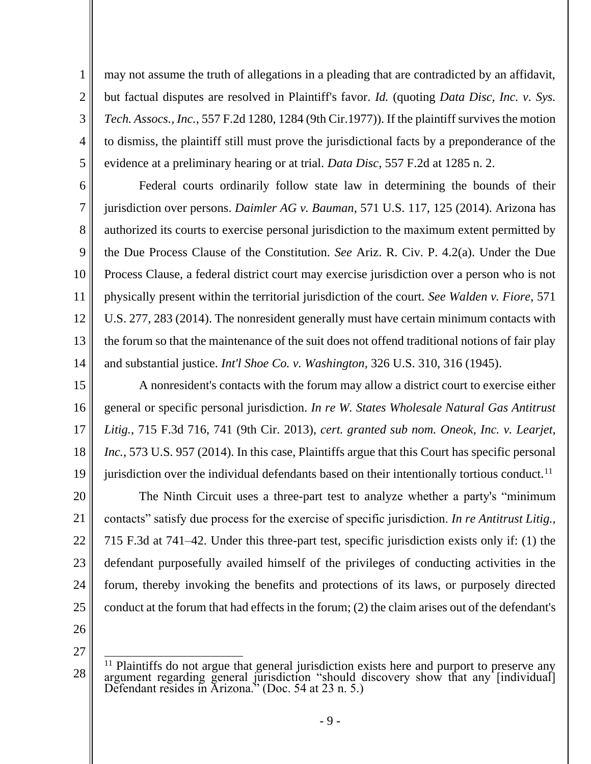may not assume the truth of allegations in a pleading that are contradicted by an affidavit, but factual disputes are resolved in Plaintiff's favor. *Id.* (quoting *Data Disc, Inc. v. Sys. Tech. Assocs., Inc.*, 557 F.2d 1280, 1284 (9th Cir.1977)). If the plaintiff survives the motion to dismiss, the plaintiff still must prove the jurisdictional facts by a preponderance of the evidence at a preliminary hearing or at trial. *Data Disc*, 557 F.2d at 1285 n. 2.

6 7 8 9 10 12 13 Federal courts ordinarily follow state law in determining the bounds of their jurisdiction over persons. *Daimler AG v. Bauman*, 571 U.S. 117, 125 (2014). Arizona has authorized its courts to exercise personal jurisdiction to the maximum extent permitted by the Due Process Clause of the Constitution. *See* Ariz. R. Civ. P. 4.2(a). Under the Due Process Clause, a federal district court may exercise jurisdiction over a person who is not physically present within the territorial jurisdiction of the court. *See Walden v. Fiore*, 571 U.S. 277, 283 (2014). The nonresident generally must have certain minimum contacts with the forum so that the maintenance of the suit does not offend traditional notions of fair play and substantial justice. *Int'l Shoe Co. v. Washington*, 326 U.S. 310, 316 (1945).

15 16 17 18 19 A nonresident's contacts with the forum may allow a district court to exercise either general or specific personal jurisdiction. *In re W. States Wholesale Natural Gas Antitrust Litig.*, 715 F.3d 716, 741 (9th Cir. 2013), *cert. granted sub nom. Oneok, Inc. v. Learjet, Inc.*, 573 U.S. 957 (2014). In this case, Plaintiffs argue that this Court has specific personal jurisdiction over the individual defendants based on their intentionally tortious conduct.<sup>11</sup>

20 21 22 23 24 25 The Ninth Circuit uses a three-part test to analyze whether a party's "minimum contacts" satisfy due process for the exercise of specific jurisdiction. *In re Antitrust Litig.*, 715 F.3d at 741–42. Under this three-part test, specific jurisdiction exists only if: (1) the defendant purposefully availed himself of the privileges of conducting activities in the forum, thereby invoking the benefits and protections of its laws, or purposely directed conduct at the forum that had effects in the forum; (2) the claim arises out of the defendant's

26

1

2

3

4

5

11

14

27

<sup>&</sup>lt;sup>11</sup> Plaintiffs do not argue that general jurisdiction exists here and purport to preserve any argument regarding general jurisdiction "should discovery show that any [individual] Defendant resides in Arizona." (Doc. 54 at 23 n. 5.)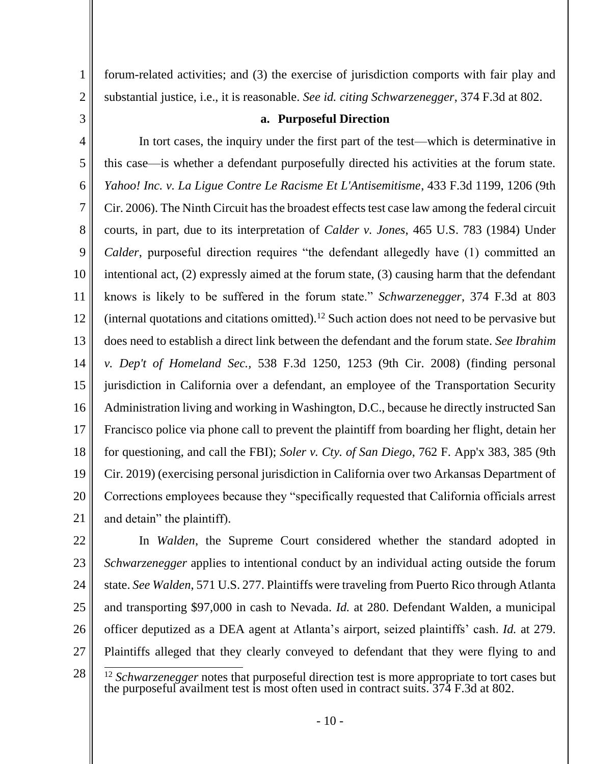forum-related activities; and (3) the exercise of jurisdiction comports with fair play and substantial justice, i.e., it is reasonable. *See id. citing Schwarzenegger*, 374 F.3d at 802.

### **a. Purposeful Direction**

6 7 12 13 14 15 16 17 18 19 20 21 In tort cases, the inquiry under the first part of the test—which is determinative in this case—is whether a defendant purposefully directed his activities at the forum state. *Yahoo! Inc. v. La Ligue Contre Le Racisme Et L'Antisemitisme*, 433 F.3d 1199, 1206 (9th Cir. 2006). The Ninth Circuit has the broadest effects test case law among the federal circuit courts, in part, due to its interpretation of *Calder v. Jones*, 465 U.S. 783 (1984) Under *Calder*, purposeful direction requires "the defendant allegedly have (1) committed an intentional act, (2) expressly aimed at the forum state, (3) causing harm that the defendant knows is likely to be suffered in the forum state." *Schwarzenegger*, 374 F.3d at 803 (internal quotations and citations omitted).<sup>12</sup> Such action does not need to be pervasive but does need to establish a direct link between the defendant and the forum state. *See Ibrahim v. Dep't of Homeland Sec.,* 538 F.3d 1250, 1253 (9th Cir. 2008) (finding personal jurisdiction in California over a defendant, an employee of the Transportation Security Administration living and working in Washington, D.C., because he directly instructed San Francisco police via phone call to prevent the plaintiff from boarding her flight, detain her for questioning, and call the FBI); *Soler v. Cty. of San Diego*, 762 F. App'x 383, 385 (9th Cir. 2019) (exercising personal jurisdiction in California over two Arkansas Department of Corrections employees because they "specifically requested that California officials arrest and detain" the plaintiff).

22

23 24 25 26 27 In *Walden*, the Supreme Court considered whether the standard adopted in *Schwarzenegger* applies to intentional conduct by an individual acting outside the forum state. *See Walden*, 571 U.S. 277. Plaintiffs were traveling from Puerto Rico through Atlanta and transporting \$97,000 in cash to Nevada. *Id.* at 280. Defendant Walden, a municipal officer deputized as a DEA agent at Atlanta's airport, seized plaintiffs' cash. *Id.* at 279. Plaintiffs alleged that they clearly conveyed to defendant that they were flying to and

<sup>28</sup>

<sup>&</sup>lt;sup>12</sup> Schwarzenegger notes that purposeful direction test is more appropriate to tort cases but the purposeful availment test is most often used in contract suits. 374 F.3d at 802.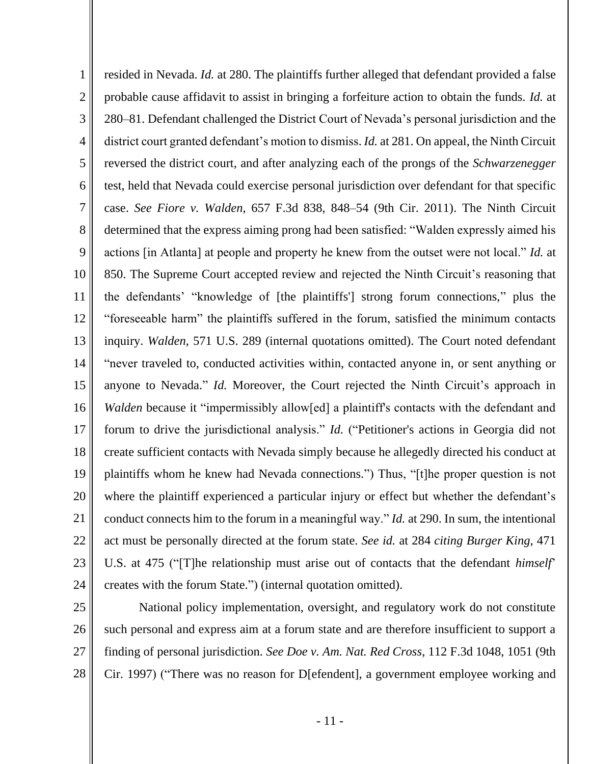1 2 3 4 5 6 7 8 9 10 11 12 13 14 15 16 17 18 19 20 21 22 23 24 resided in Nevada. *Id.* at 280. The plaintiffs further alleged that defendant provided a false probable cause affidavit to assist in bringing a forfeiture action to obtain the funds. *Id.* at 280–81. Defendant challenged the District Court of Nevada's personal jurisdiction and the district court granted defendant's motion to dismiss. *Id.* at 281. On appeal, the Ninth Circuit reversed the district court, and after analyzing each of the prongs of the *Schwarzenegger* test, held that Nevada could exercise personal jurisdiction over defendant for that specific case. *See Fiore v. Walden*, 657 F.3d 838, 848–54 (9th Cir. 2011). The Ninth Circuit determined that the express aiming prong had been satisfied: "Walden expressly aimed his actions [in Atlanta] at people and property he knew from the outset were not local." *Id.* at 850. The Supreme Court accepted review and rejected the Ninth Circuit's reasoning that the defendants' "knowledge of [the plaintiffs'] strong forum connections," plus the "foreseeable harm" the plaintiffs suffered in the forum, satisfied the minimum contacts inquiry. *Walden*, 571 U.S. 289 (internal quotations omitted). The Court noted defendant "never traveled to, conducted activities within, contacted anyone in, or sent anything or anyone to Nevada." *Id.* Moreover, the Court rejected the Ninth Circuit's approach in *Walden* because it "impermissibly allow[ed] a plaintiff's contacts with the defendant and forum to drive the jurisdictional analysis." *Id.* ("Petitioner's actions in Georgia did not create sufficient contacts with Nevada simply because he allegedly directed his conduct at plaintiffs whom he knew had Nevada connections.") Thus, "[t]he proper question is not where the plaintiff experienced a particular injury or effect but whether the defendant's conduct connects him to the forum in a meaningful way." *Id.* at 290. In sum, the intentional act must be personally directed at the forum state. *See id.* at 284 *citing Burger King*, 471 U.S. at 475 ("[T]he relationship must arise out of contacts that the defendant *himself*' creates with the forum State.") (internal quotation omitted).

25 26

27

28

National policy implementation, oversight, and regulatory work do not constitute such personal and express aim at a forum state and are therefore insufficient to support a finding of personal jurisdiction. *See Doe v. Am. Nat. Red Cross*, 112 F.3d 1048, 1051 (9th Cir. 1997) ("There was no reason for D[efendent], a government employee working and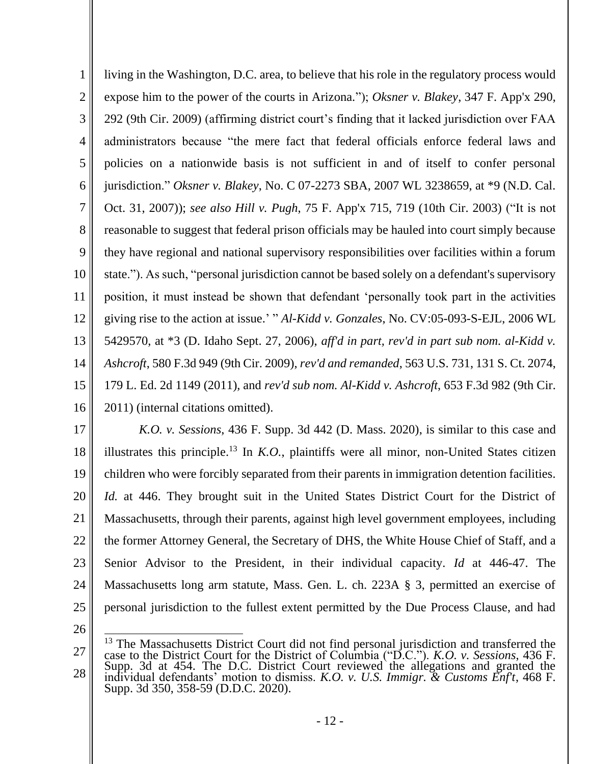1 2 3 4 5 6 7 8 9 10 11 12 13 14 15 16 living in the Washington, D.C. area, to believe that his role in the regulatory process would expose him to the power of the courts in Arizona."); *Oksner v. Blakey*, 347 F. App'x 290, 292 (9th Cir. 2009) (affirming district court's finding that it lacked jurisdiction over FAA administrators because "the mere fact that federal officials enforce federal laws and policies on a nationwide basis is not sufficient in and of itself to confer personal jurisdiction." *Oksner v. Blakey*, No. C 07-2273 SBA, 2007 WL 3238659, at \*9 (N.D. Cal. Oct. 31, 2007)); *see also Hill v. Pugh*, 75 F. App'x 715, 719 (10th Cir. 2003) ("It is not reasonable to suggest that federal prison officials may be hauled into court simply because they have regional and national supervisory responsibilities over facilities within a forum state."). As such, "personal jurisdiction cannot be based solely on a defendant's supervisory position, it must instead be shown that defendant 'personally took part in the activities giving rise to the action at issue.' " *Al-Kidd v. Gonzales*, No. CV:05-093-S-EJL, 2006 WL 5429570, at \*3 (D. Idaho Sept. 27, 2006), *aff'd in part, rev'd in part sub nom. al-Kidd v. Ashcroft*, 580 F.3d 949 (9th Cir. 2009), *rev'd and remanded*, 563 U.S. 731, 131 S. Ct. 2074, 179 L. Ed. 2d 1149 (2011), and *rev'd sub nom. Al-Kidd v. Ashcroft*, 653 F.3d 982 (9th Cir. 2011) (internal citations omitted).

17 18 19 20 21 22 23 24 25 *K.O. v. Sessions*, 436 F. Supp. 3d 442 (D. Mass. 2020), is similar to this case and illustrates this principle.<sup>13</sup> In  $K.O.$ , plaintiffs were all minor, non-United States citizen children who were forcibly separated from their parents in immigration detention facilities. *Id.* at 446. They brought suit in the United States District Court for the District of Massachusetts, through their parents, against high level government employees, including the former Attorney General, the Secretary of DHS, the White House Chief of Staff, and a Senior Advisor to the President, in their individual capacity. *Id* at 446-47. The Massachusetts long arm statute, Mass. Gen. L. ch. 223A § 3, permitted an exercise of personal jurisdiction to the fullest extent permitted by the Due Process Clause, and had

<sup>27</sup> 28 <sup>13</sup> The Massachusetts District Court did not find personal jurisdiction and transferred the case to the District Court for the District of Columbia ("D.C."). *K.O. v. Sessions*, 436 F. Supp. 3d at 454. The D.C. District Court reviewed the allegations and granted the individual defendants' motion to dismiss. *K.O. v. U.S. Immigr. & Customs Enf't*, 468 F. Supp. 3d 350, 358-59 (D.D.C. 2020).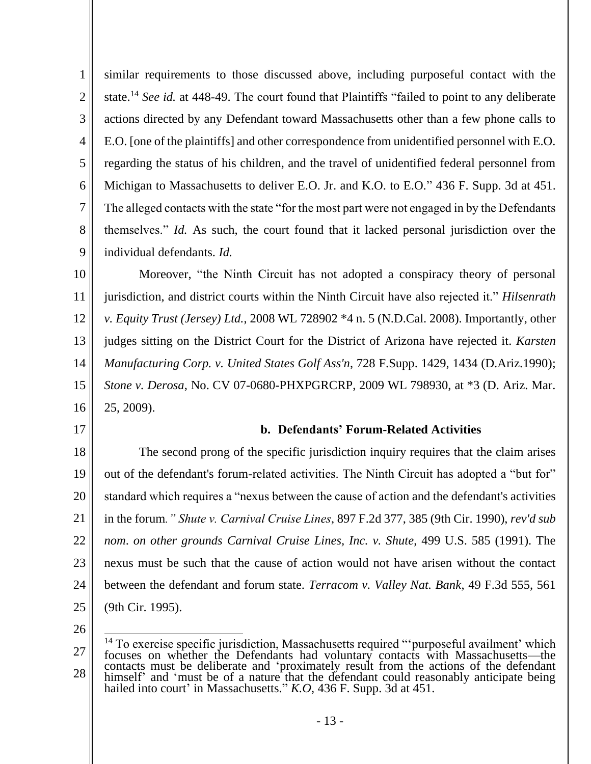1 2 3 4 5 6 7 8 9 similar requirements to those discussed above, including purposeful contact with the state.<sup>14</sup> *See id.* at 448-49. The court found that Plaintiffs "failed to point to any deliberate actions directed by any Defendant toward Massachusetts other than a few phone calls to E.O. [one of the plaintiffs] and other correspondence from unidentified personnel with E.O. regarding the status of his children, and the travel of unidentified federal personnel from Michigan to Massachusetts to deliver E.O. Jr. and K.O. to E.O." 436 F. Supp. 3d at 451. The alleged contacts with the state "for the most part were not engaged in by the Defendants themselves." *Id.* As such, the court found that it lacked personal jurisdiction over the individual defendants. *Id.* 

10 11 12 13 14 15 16 Moreover, "the Ninth Circuit has not adopted a conspiracy theory of personal jurisdiction, and district courts within the Ninth Circuit have also rejected it." *Hilsenrath v. Equity Trust (Jersey) Ltd.*, 2008 WL 728902 \*4 n. 5 (N.D.Cal. 2008). Importantly, other judges sitting on the District Court for the District of Arizona have rejected it. *Karsten Manufacturing Corp. v. United States Golf Ass'n*, 728 F.Supp. 1429, 1434 (D.Ariz.1990); *Stone v. Derosa*, No. CV 07-0680-PHXPGRCRP, 2009 WL 798930, at \*3 (D. Ariz. Mar. 25, 2009).

17

# **b. Defendants' Forum-Related Activities**

18 19 20 21 22 23 24 25 The second prong of the specific jurisdiction inquiry requires that the claim arises out of the defendant's forum-related activities. The Ninth Circuit has adopted a "but for" standard which requires a "nexus between the cause of action and the defendant's activities in the forum*." Shute v. Carnival Cruise Lines*, 897 F.2d 377, 385 (9th Cir. 1990), *rev'd sub nom*. *on other grounds Carnival Cruise Lines, Inc. v. Shute*, 499 U.S. 585 (1991). The nexus must be such that the cause of action would not have arisen without the contact between the defendant and forum state. *Terracom v. Valley Nat. Bank*, 49 F.3d 555, 561 (9th Cir. 1995).

<sup>27</sup> 28 <sup>14</sup> To exercise specific jurisdiction, Massachusetts required "'purposeful availment' which focuses on whether the Defendants had voluntary contacts with Massachusetts—the contacts must be deliberate and 'proximately result from the actions of the defendant himself' and 'must be of a nature that the defendant could reasonably anticipate being hailed into court' in Massachusetts." *K.O*, 436 F. Supp. 3d at 451.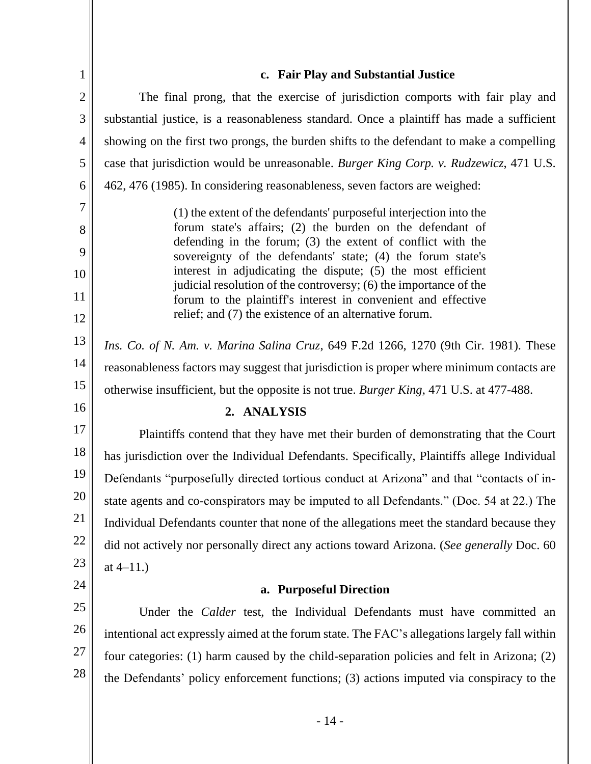| 1              | c. Fair Play and Substantial Justice                                                                                              |
|----------------|-----------------------------------------------------------------------------------------------------------------------------------|
| $\overline{2}$ | The final prong, that the exercise of jurisdiction comports with fair play and                                                    |
| 3              | substantial justice, is a reasonableness standard. Once a plaintiff has made a sufficient                                         |
| 4              | showing on the first two prongs, the burden shifts to the defendant to make a compelling                                          |
| 5              | case that jurisdiction would be unreasonable. Burger King Corp. v. Rudzewicz, 471 U.S.                                            |
| 6              | 462, 476 (1985). In considering reasonableness, seven factors are weighed:                                                        |
| $\overline{7}$ | (1) the extent of the defendants' purposeful interjection into the                                                                |
| 8              | forum state's affairs; (2) the burden on the defendant of                                                                         |
| 9              | defending in the forum; (3) the extent of conflict with the<br>sovereignty of the defendants' state; (4) the forum state's        |
| 10             | interest in adjudicating the dispute; (5) the most efficient<br>judicial resolution of the controversy; (6) the importance of the |
| 11             | forum to the plaintiff's interest in convenient and effective                                                                     |
| 12             | relief; and (7) the existence of an alternative forum.                                                                            |
| 13             | Ins. Co. of N. Am. v. Marina Salina Cruz, 649 F.2d 1266, 1270 (9th Cir. 1981). These                                              |
| 14             | reasonableness factors may suggest that jurisdiction is proper where minimum contacts are                                         |
| 15             | otherwise insufficient, but the opposite is not true. Burger King, 471 U.S. at 477-488.                                           |
| 16             | 2. ANALYSIS                                                                                                                       |
| 17             | Plaintiffs contend that they have met their burden of demonstrating that the Court                                                |
| 18             | has jurisdiction over the Individual Defendants. Specifically, Plaintiffs allege Individual                                       |
| 19             | Defendants "purposefully directed tortious conduct at Arizona" and that "contacts of in-                                          |
| $20\,$         | state agents and co-conspirators may be imputed to all Defendants." (Doc. 54 at 22.) The                                          |
| 21             | Individual Defendants counter that none of the allegations meet the standard because they                                         |
| 22             | did not actively nor personally direct any actions toward Arizona. (See generally Doc. 60                                         |
| 23             | at $4-11.$ )                                                                                                                      |
| 24             | a. Purposeful Direction                                                                                                           |
| 25             | Under the <i>Calder</i> test, the Individual Defendants must have committed an                                                    |
| 26             | intentional act expressly aimed at the forum state. The FAC's allegations largely fall within                                     |
| 27             | four categories: (1) harm caused by the child-separation policies and felt in Arizona; (2)                                        |
| 28             | the Defendants' policy enforcement functions; (3) actions imputed via conspiracy to the                                           |
|                |                                                                                                                                   |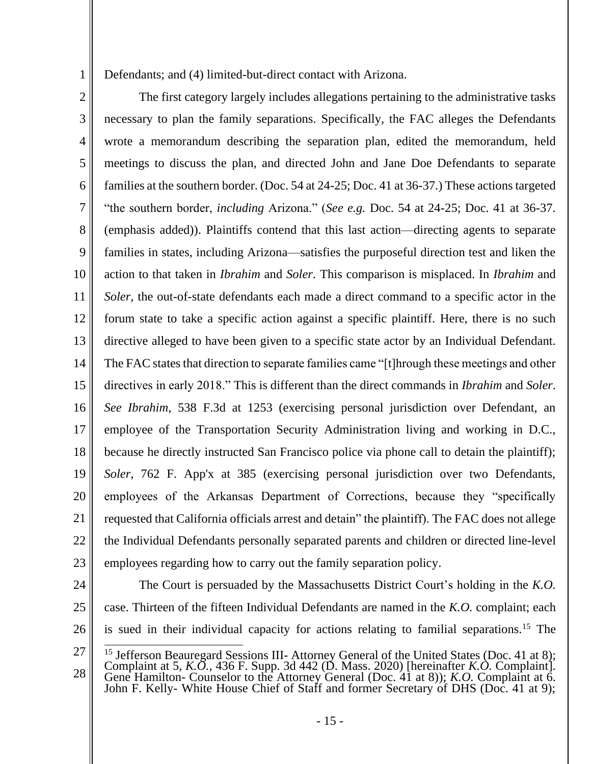Defendants; and (4) limited-but-direct contact with Arizona.

2 3 4 5 6 7 8 9 10 11 12 13 14 15 16 17 18 19 20 21 22 23 The first category largely includes allegations pertaining to the administrative tasks necessary to plan the family separations. Specifically, the FAC alleges the Defendants wrote a memorandum describing the separation plan, edited the memorandum, held meetings to discuss the plan, and directed John and Jane Doe Defendants to separate families at the southern border. (Doc. 54 at 24-25; Doc. 41 at 36-37.) These actions targeted "the southern border, *including* Arizona." (*See e.g.* Doc. 54 at 24-25; Doc. 41 at 36-37. (emphasis added)). Plaintiffs contend that this last action—directing agents to separate families in states, including Arizona—satisfies the purposeful direction test and liken the action to that taken in *Ibrahim* and *Soler*. This comparison is misplaced. In *Ibrahim* and *Soler*, the out-of-state defendants each made a direct command to a specific actor in the forum state to take a specific action against a specific plaintiff. Here, there is no such directive alleged to have been given to a specific state actor by an Individual Defendant. The FAC states that direction to separate families came "[t]hrough these meetings and other directives in early 2018." This is different than the direct commands in *Ibrahim* and *Soler*. *See Ibrahim*, 538 F.3d at 1253 (exercising personal jurisdiction over Defendant, an employee of the Transportation Security Administration living and working in D.C., because he directly instructed San Francisco police via phone call to detain the plaintiff); *Soler*, 762 F. App'x at 385 (exercising personal jurisdiction over two Defendants, employees of the Arkansas Department of Corrections, because they "specifically requested that California officials arrest and detain" the plaintiff). The FAC does not allege the Individual Defendants personally separated parents and children or directed line-level employees regarding how to carry out the family separation policy.

24

25

26

1

The Court is persuaded by the Massachusetts District Court's holding in the *K.O.*  case. Thirteen of the fifteen Individual Defendants are named in the *K.O.* complaint; each is sued in their individual capacity for actions relating to familial separations.<sup>15</sup> The

<sup>27</sup> 28 <sup>15</sup> Jefferson Beauregard Sessions III- Attorney General of the United States (Doc. 41 at 8); Complaint at 5, *K.O.*, 436 F. Supp. 3d 442 (D. Mass. 2020) [hereinafter *K.O.* Complaint]. Gene Hamilton- Counselor to the Attorney General (Doc. 41 at 8)); *K.O.* Complaint at 6. John F. Kelly- White House Chief of Staff and former Secretary of DHS (Doc. 41 at 9);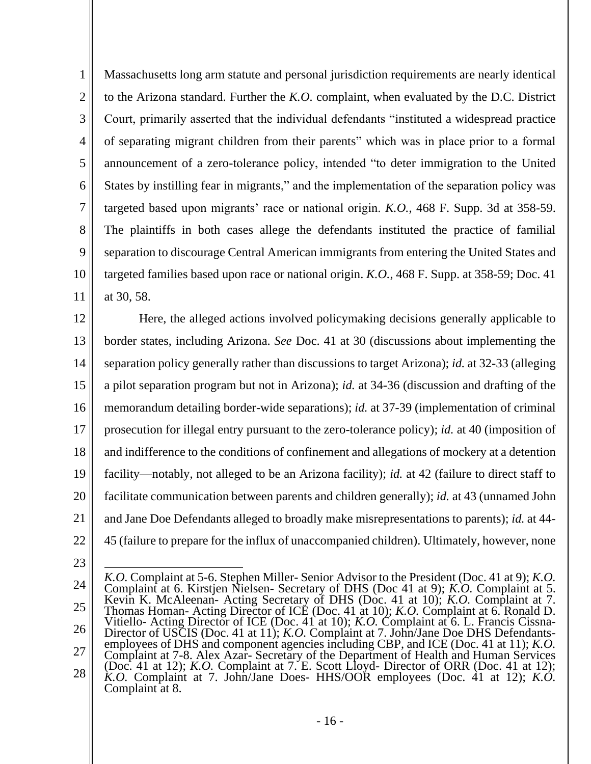1 2 3 4 5 6 7 8 9 10 11 Massachusetts long arm statute and personal jurisdiction requirements are nearly identical to the Arizona standard. Further the *K.O.* complaint, when evaluated by the D.C. District Court, primarily asserted that the individual defendants "instituted a widespread practice of separating migrant children from their parents" which was in place prior to a formal announcement of a zero-tolerance policy, intended "to deter immigration to the United States by instilling fear in migrants," and the implementation of the separation policy was targeted based upon migrants' race or national origin. *K.O.*, 468 F. Supp. 3d at 358-59. The plaintiffs in both cases allege the defendants instituted the practice of familial separation to discourage Central American immigrants from entering the United States and targeted families based upon race or national origin. *K.O.*, 468 F. Supp. at 358-59; Doc. 41 at 30, 58.

12 13 14 15 16 17 18 19 20 21 22 Here, the alleged actions involved policymaking decisions generally applicable to border states, including Arizona. *See* Doc. 41 at 30 (discussions about implementing the separation policy generally rather than discussions to target Arizona); *id.* at 32-33 (alleging a pilot separation program but not in Arizona); *id.* at 34-36 (discussion and drafting of the memorandum detailing border-wide separations); *id.* at 37-39 (implementation of criminal prosecution for illegal entry pursuant to the zero-tolerance policy); *id.* at 40 (imposition of and indifference to the conditions of confinement and allegations of mockery at a detention facility—notably, not alleged to be an Arizona facility); *id.* at 42 (failure to direct staff to facilitate communication between parents and children generally); *id.* at 43 (unnamed John and Jane Doe Defendants alleged to broadly make misrepresentations to parents); *id.* at 44- 45 (failure to prepare for the influx of unaccompanied children). Ultimately, however, none

<sup>24</sup> 25 26 27 28 *K.O.* Complaint at 5-6. Stephen Miller- Senior Advisor to the President (Doc. 41 at 9); *K.O.*  Complaint at 6. Kirstjen Nielsen- Secretary of DHS (Doc 41 at 9); *K.O.* Complaint at 5. Kevin K. McAleenan- Acting Secretary of DHS (Doc. 41 at 10); *K.O.* Complaint at 7. Thomas Homan- Acting Director of ICE (Doc. 41 at 10); *K.O.* Complaint at 6. Ronald D. Vitiello- Acting Director of ICE (Doc. 41 at 10); *K.O.* Complaint at 6. L. Francis Cissna-Director of USCIS (Doc. 41 at 11); *K.O.* Complaint at 7. John/Jane Doe DHS Defendantsemployees of DHS and component agencies including CBP, and ICE (Doc. 41 at 11); *K.O.*  Complaint at 7-8. Alex Azar- Secretary of the Department of Health and Human Services (Doc. 41 at 12); *K.O.* Complaint at 7. E. Scott Lloyd- Director of ORR (Doc. 41 at 12); *K.O.* Complaint at 7. John/Jane Does- HHS/OOR employees (Doc. 41 at 12); *K.O.*  Complaint at 8.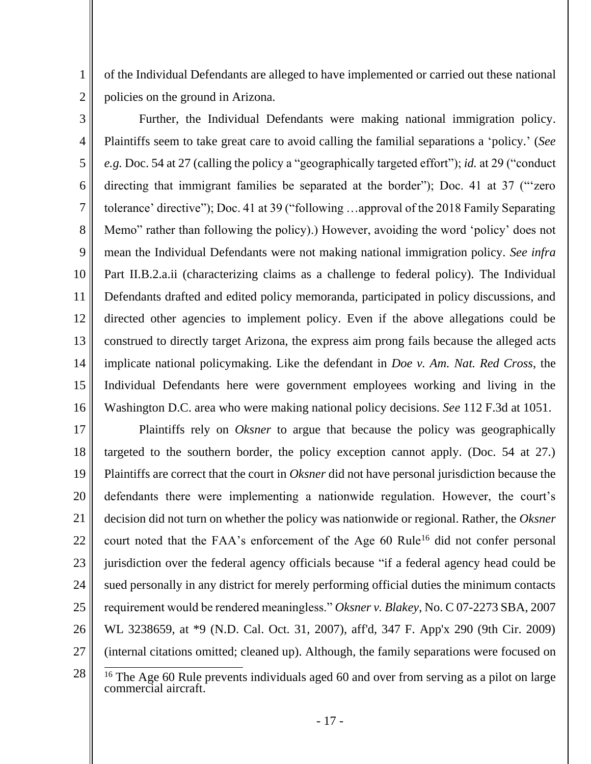of the Individual Defendants are alleged to have implemented or carried out these national policies on the ground in Arizona.

3

1

2

4 5 6 7 8 9 10 11 12 13 14 15 16 Further, the Individual Defendants were making national immigration policy. Plaintiffs seem to take great care to avoid calling the familial separations a 'policy.' (*See e.g.* Doc. 54 at 27 (calling the policy a "geographically targeted effort"); *id.* at 29 ("conduct directing that immigrant families be separated at the border"); Doc. 41 at 37 ("'zero tolerance' directive"); Doc. 41 at 39 ("following …approval of the 2018 Family Separating Memo" rather than following the policy).) However, avoiding the word 'policy' does not mean the Individual Defendants were not making national immigration policy. *See infra* Part II.B.2.a.ii (characterizing claims as a challenge to federal policy). The Individual Defendants drafted and edited policy memoranda, participated in policy discussions, and directed other agencies to implement policy. Even if the above allegations could be construed to directly target Arizona, the express aim prong fails because the alleged acts implicate national policymaking. Like the defendant in *Doe v. Am. Nat. Red Cross*, the Individual Defendants here were government employees working and living in the Washington D.C. area who were making national policy decisions. *See* 112 F.3d at 1051.

17 18 19 20 21 22 23 24 25 26 27 28 Plaintiffs rely on *Oksner* to argue that because the policy was geographically targeted to the southern border, the policy exception cannot apply. (Doc. 54 at 27.) Plaintiffs are correct that the court in *Oksner* did not have personal jurisdiction because the defendants there were implementing a nationwide regulation. However, the court's decision did not turn on whether the policy was nationwide or regional. Rather, the *Oksner* court noted that the FAA's enforcement of the Age 60 Rule<sup>16</sup> did not confer personal jurisdiction over the federal agency officials because "if a federal agency head could be sued personally in any district for merely performing official duties the minimum contacts requirement would be rendered meaningless." *Oksner v. Blakey*, No. C 07-2273 SBA, 2007 WL 3238659, at \*9 (N.D. Cal. Oct. 31, 2007), aff'd, 347 F. App'x 290 (9th Cir. 2009) (internal citations omitted; cleaned up). Although, the family separations were focused on

<sup>&</sup>lt;sup>16</sup> The Age 60 Rule prevents individuals aged 60 and over from serving as a pilot on large commercial aircraft.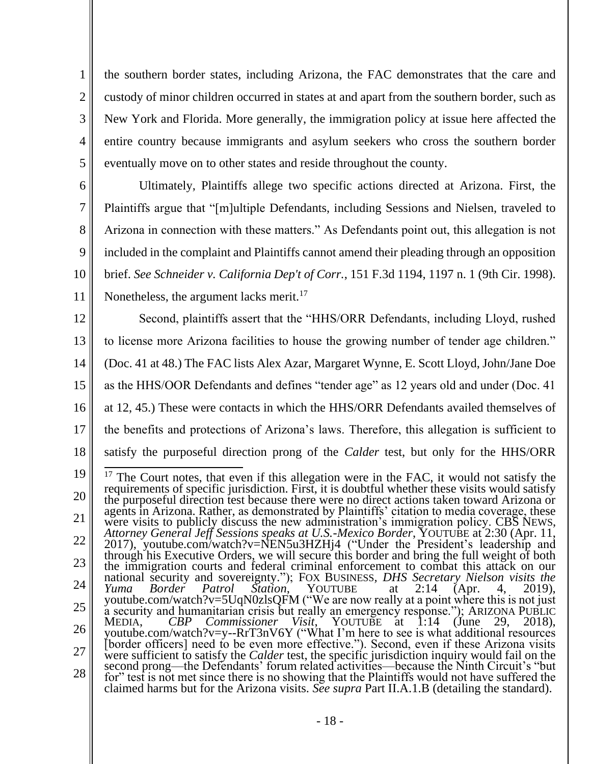the southern border states, including Arizona, the FAC demonstrates that the care and custody of minor children occurred in states at and apart from the southern border, such as New York and Florida. More generally, the immigration policy at issue here affected the entire country because immigrants and asylum seekers who cross the southern border eventually move on to other states and reside throughout the county.

1

2

3

4

5

6 7 8 9 10 11 Ultimately, Plaintiffs allege two specific actions directed at Arizona. First, the Plaintiffs argue that "[m]ultiple Defendants, including Sessions and Nielsen, traveled to Arizona in connection with these matters." As Defendants point out, this allegation is not included in the complaint and Plaintiffs cannot amend their pleading through an opposition brief. *See Schneider v. California Dep't of Corr.*, 151 F.3d 1194, 1197 n. 1 (9th Cir. 1998). Nonetheless, the argument lacks merit.<sup>17</sup>

12 13 14 15 16 17 18 Second, plaintiffs assert that the "HHS/ORR Defendants, including Lloyd, rushed to license more Arizona facilities to house the growing number of tender age children." (Doc. 41 at 48.) The FAC lists Alex Azar, Margaret Wynne, E. Scott Lloyd, John/Jane Doe as the HHS/OOR Defendants and defines "tender age" as 12 years old and under (Doc. 41 at 12, 45.) These were contacts in which the HHS/ORR Defendants availed themselves of the benefits and protections of Arizona's laws. Therefore, this allegation is sufficient to satisfy the purposeful direction prong of the *Calder* test, but only for the HHS/ORR

<sup>19</sup> 20 21 22 23 24 25 26 27 28  $17$  The Court notes, that even if this allegation were in the FAC, it would not satisfy the requirements of specific jurisdiction. First, it is doubtful whether these visits would satisfy the purposeful direction test because there were no direct actions taken toward Arizona or agents in Arizona. Rather, as demonstrated by Plaintiffs' citation to media coverage, these were visits to publicly discuss the new administration's immigration policy. CBS NEWS, *Attorney General Jeff Sessions speaks at U.S.-Mexico Border*, YOUTUBE at 2:30 (Apr. 11, 2017), youtube.com/watch?v=NEN5u3HZHj4 ("Under the President's leadership and through his Executive Orders, we will secure this border and bring the full weight of both the immigration courts and federal criminal enforcement to combat this attack on our national security and sovereignty."); FOX BUSINESS*, DHS Secretary Nielson visits the Yuma Border Patrol Station*, YOUTUBE at 2:14 (Apr. 4, 2019), youtube.com/watch?v=5UqN0zlsQFM ("We are now really at a point where this is not just a security and humanitarian crisis but really an emergency response."); ARIZONA PUBLIC MEDIA, *CBP Commissioner Visit*, YOUTUBE at 1:14 (June 29, 2018), youtube.com/watch?v=y--RrT3nV6Y ("What I'm here to see is what additional resources [border officers] need to be even more effective."). Second, even if these Arizona visits were sufficient to satisfy the *Calder* test, the specific jurisdiction inquiry would fail on the second prong—the Defendants' forum related activities—because the Ninth Circuit's "but for" test is not met since there is no showing that the Plaintiffs would not have suffered the claimed harms but for the Arizona visits. *See supra* Part II.A.1.B (detailing the standard).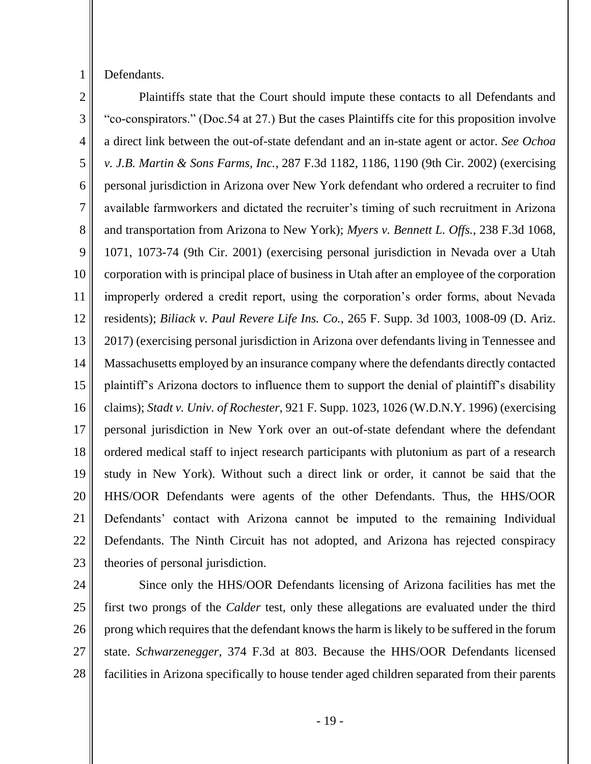1

Defendants.

2 3 4 5 6 7 8 9 10 11 12 13 14 15 16 17 18 19 20 21 22 23 Plaintiffs state that the Court should impute these contacts to all Defendants and "co-conspirators." (Doc.54 at 27.) But the cases Plaintiffs cite for this proposition involve a direct link between the out-of-state defendant and an in-state agent or actor. *See Ochoa v. J.B. Martin & Sons Farms, Inc.*, 287 F.3d 1182, 1186, 1190 (9th Cir. 2002) (exercising personal jurisdiction in Arizona over New York defendant who ordered a recruiter to find available farmworkers and dictated the recruiter's timing of such recruitment in Arizona and transportation from Arizona to New York); *Myers v. Bennett L. Offs.*, 238 F.3d 1068, 1071, 1073-74 (9th Cir. 2001) (exercising personal jurisdiction in Nevada over a Utah corporation with is principal place of business in Utah after an employee of the corporation improperly ordered a credit report, using the corporation's order forms, about Nevada residents); *Biliack v. Paul Revere Life Ins. Co.*, 265 F. Supp. 3d 1003, 1008-09 (D. Ariz. 2017) (exercising personal jurisdiction in Arizona over defendants living in Tennessee and Massachusetts employed by an insurance company where the defendants directly contacted plaintiff's Arizona doctors to influence them to support the denial of plaintiff's disability claims); *Stadt v. Univ. of Rochester*, 921 F. Supp. 1023, 1026 (W.D.N.Y. 1996) (exercising personal jurisdiction in New York over an out-of-state defendant where the defendant ordered medical staff to inject research participants with plutonium as part of a research study in New York). Without such a direct link or order, it cannot be said that the HHS/OOR Defendants were agents of the other Defendants. Thus, the HHS/OOR Defendants' contact with Arizona cannot be imputed to the remaining Individual Defendants. The Ninth Circuit has not adopted, and Arizona has rejected conspiracy theories of personal jurisdiction.

24

25 26 27 28 Since only the HHS/OOR Defendants licensing of Arizona facilities has met the first two prongs of the *Calder* test, only these allegations are evaluated under the third prong which requires that the defendant knows the harm is likely to be suffered in the forum state. *Schwarzenegger*, 374 F.3d at 803. Because the HHS/OOR Defendants licensed facilities in Arizona specifically to house tender aged children separated from their parents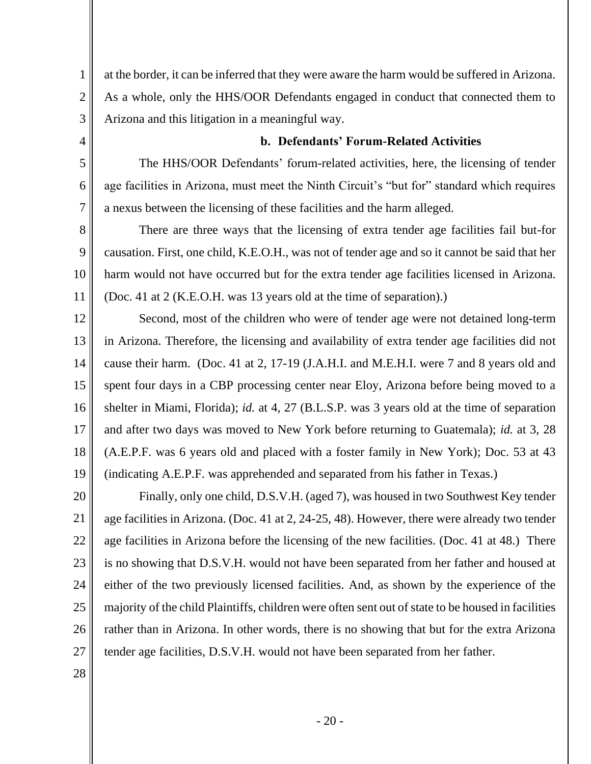at the border, it can be inferred that they were aware the harm would be suffered in Arizona. As a whole, only the HHS/OOR Defendants engaged in conduct that connected them to Arizona and this litigation in a meaningful way.

## **b. Defendants' Forum-Related Activities**

The HHS/OOR Defendants' forum-related activities, here, the licensing of tender age facilities in Arizona, must meet the Ninth Circuit's "but for" standard which requires a nexus between the licensing of these facilities and the harm alleged.

There are three ways that the licensing of extra tender age facilities fail but-for causation. First, one child, K.E.O.H., was not of tender age and so it cannot be said that her harm would not have occurred but for the extra tender age facilities licensed in Arizona. (Doc. 41 at 2 (K.E.O.H. was 13 years old at the time of separation).)

12 13 14 15 16 17 18 19 Second, most of the children who were of tender age were not detained long-term in Arizona. Therefore, the licensing and availability of extra tender age facilities did not cause their harm. (Doc. 41 at 2, 17-19 (J.A.H.I. and M.E.H.I. were 7 and 8 years old and spent four days in a CBP processing center near Eloy, Arizona before being moved to a shelter in Miami, Florida); *id.* at 4, 27 (B.L.S.P. was 3 years old at the time of separation and after two days was moved to New York before returning to Guatemala); *id.* at 3, 28 (A.E.P.F. was 6 years old and placed with a foster family in New York); Doc. 53 at 43 (indicating A.E.P.F. was apprehended and separated from his father in Texas.)

20 21 22 23 24 25 26 27 Finally, only one child, D.S.V.H. (aged 7), was housed in two Southwest Key tender age facilities in Arizona. (Doc. 41 at 2, 24-25, 48). However, there were already two tender age facilities in Arizona before the licensing of the new facilities. (Doc. 41 at 48.) There is no showing that D.S.V.H. would not have been separated from her father and housed at either of the two previously licensed facilities. And, as shown by the experience of the majority of the child Plaintiffs, children were often sent out of state to be housed in facilities rather than in Arizona. In other words, there is no showing that but for the extra Arizona tender age facilities, D.S.V.H. would not have been separated from her father.

28

1

2

3

4

5

6

7

8

9

10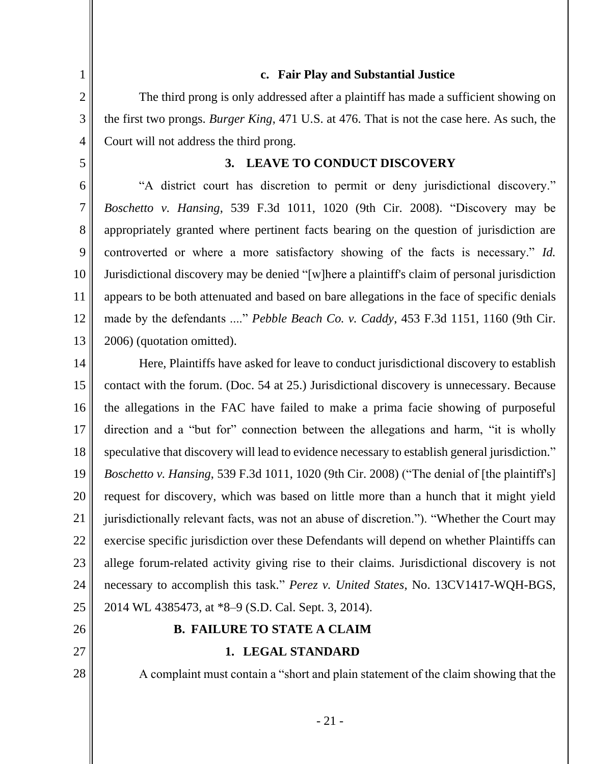1 2 3 4 5 6 7 8 9 10 11 12 13 14 15 16 17 18 19 20 21 22 23 24 25 26 27 28 **c. Fair Play and Substantial Justice** The third prong is only addressed after a plaintiff has made a sufficient showing on the first two prongs. *Burger King*, 471 U.S. at 476. That is not the case here. As such, the Court will not address the third prong. **3. LEAVE TO CONDUCT DISCOVERY** "A district court has discretion to permit or deny jurisdictional discovery." *Boschetto v. Hansing*, 539 F.3d 1011, 1020 (9th Cir. 2008). "Discovery may be appropriately granted where pertinent facts bearing on the question of jurisdiction are controverted or where a more satisfactory showing of the facts is necessary." *Id.* Jurisdictional discovery may be denied "[w]here a plaintiff's claim of personal jurisdiction appears to be both attenuated and based on bare allegations in the face of specific denials made by the defendants ...." *Pebble Beach Co. v. Caddy*, 453 F.3d 1151, 1160 (9th Cir. 2006) (quotation omitted). Here, Plaintiffs have asked for leave to conduct jurisdictional discovery to establish contact with the forum. (Doc. 54 at 25.) Jurisdictional discovery is unnecessary. Because the allegations in the FAC have failed to make a prima facie showing of purposeful direction and a "but for" connection between the allegations and harm, "it is wholly speculative that discovery will lead to evidence necessary to establish general jurisdiction." *Boschetto v. Hansing*, 539 F.3d 1011, 1020 (9th Cir. 2008) ("The denial of [the plaintiff's] request for discovery, which was based on little more than a hunch that it might yield jurisdictionally relevant facts, was not an abuse of discretion."). "Whether the Court may exercise specific jurisdiction over these Defendants will depend on whether Plaintiffs can allege forum-related activity giving rise to their claims. Jurisdictional discovery is not necessary to accomplish this task." *Perez v. United States*, No. 13CV1417-WQH-BGS, 2014 WL 4385473, at \*8–9 (S.D. Cal. Sept. 3, 2014). **B. FAILURE TO STATE A CLAIM 1. LEGAL STANDARD**  A complaint must contain a "short and plain statement of the claim showing that the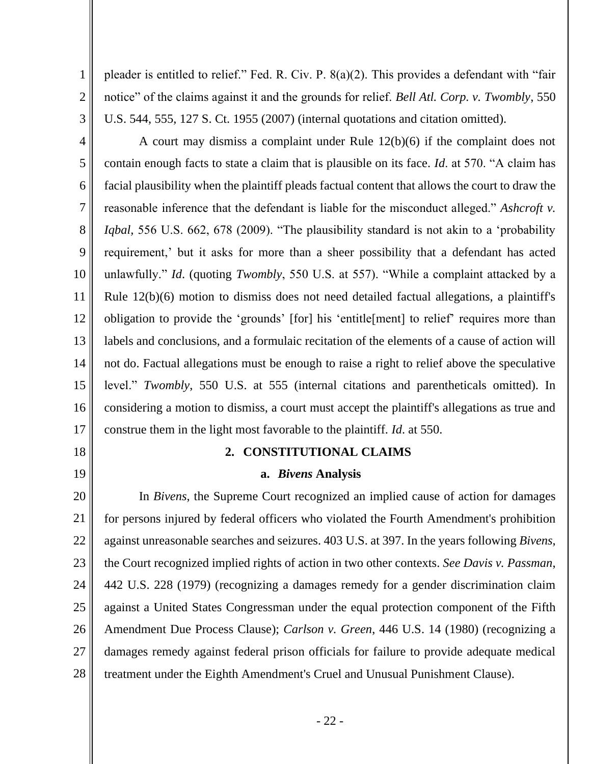pleader is entitled to relief." Fed. R. Civ. P. 8(a)(2). This provides a defendant with "fair notice" of the claims against it and the grounds for relief. *Bell Atl. Corp. v. Twombly*, 550 U.S. 544, 555, 127 S. Ct. 1955 (2007) (internal quotations and citation omitted).

3 4

1

2

5 6 7 8 9 10 11 12 13 14 15 16 17 A court may dismiss a complaint under Rule 12(b)(6) if the complaint does not contain enough facts to state a claim that is plausible on its face. *Id*. at 570. "A claim has facial plausibility when the plaintiff pleads factual content that allows the court to draw the reasonable inference that the defendant is liable for the misconduct alleged." *Ashcroft v. Iqbal,* 556 U.S. 662, 678 (2009). "The plausibility standard is not akin to a 'probability requirement,' but it asks for more than a sheer possibility that a defendant has acted unlawfully." *Id*. (quoting *Twombly*, 550 U.S. at 557). "While a complaint attacked by a Rule 12(b)(6) motion to dismiss does not need detailed factual allegations, a plaintiff's obligation to provide the 'grounds' [for] his 'entitle[ment] to relief' requires more than labels and conclusions, and a formulaic recitation of the elements of a cause of action will not do. Factual allegations must be enough to raise a right to relief above the speculative level." *Twombly*, 550 U.S. at 555 (internal citations and parentheticals omitted). In considering a motion to dismiss, a court must accept the plaintiff's allegations as true and construe them in the light most favorable to the plaintiff. *Id*. at 550.

18

19

# **2. CONSTITUTIONAL CLAIMS**

# **a.** *Bivens* **Analysis**

20 21 22 23 24 25 26 27 28 In *Bivens*, the Supreme Court recognized an implied cause of action for damages for persons injured by federal officers who violated the Fourth Amendment's prohibition against unreasonable searches and seizures. 403 U.S. at 397. In the years following *Bivens*, the Court recognized implied rights of action in two other contexts. *See Davis v. Passman*, 442 U.S. 228 (1979) (recognizing a damages remedy for a gender discrimination claim against a United States Congressman under the equal protection component of the Fifth Amendment Due Process Clause); *Carlson v. Green*, 446 U.S. 14 (1980) (recognizing a damages remedy against federal prison officials for failure to provide adequate medical treatment under the Eighth Amendment's Cruel and Unusual Punishment Clause).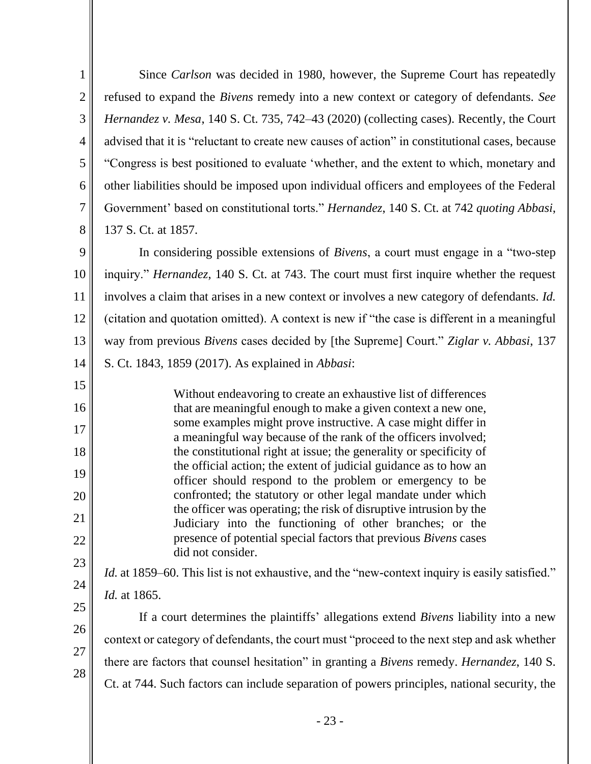Since *Carlson* was decided in 1980, however, the Supreme Court has repeatedly refused to expand the *Bivens* remedy into a new context or category of defendants. *See Hernandez v. Mesa*, 140 S. Ct. 735, 742–43 (2020) (collecting cases). Recently, the Court advised that it is "reluctant to create new causes of action" in constitutional cases, because "Congress is best positioned to evaluate 'whether, and the extent to which, monetary and other liabilities should be imposed upon individual officers and employees of the Federal Government' based on constitutional torts." *Hernandez*, 140 S. Ct. at 742 *quoting Abbasi*, 137 S. Ct. at 1857.

1

2

3

4

5

6

7

8

17

18

19

20

21

24

25

26

27

28

9 10 11 12 13 14 In considering possible extensions of *Bivens*, a court must engage in a "two-step inquiry." *Hernandez*, 140 S. Ct. at 743. The court must first inquire whether the request involves a claim that arises in a new context or involves a new category of defendants. *Id.* (citation and quotation omitted). A context is new if "the case is different in a meaningful way from previous *Bivens* cases decided by [the Supreme] Court." *Ziglar v. Abbasi*, 137 S. Ct. 1843, 1859 (2017). As explained in *Abbasi*:

15 16 22 23 Without endeavoring to create an exhaustive list of differences that are meaningful enough to make a given context a new one, some examples might prove instructive. A case might differ in a meaningful way because of the rank of the officers involved; the constitutional right at issue; the generality or specificity of the official action; the extent of judicial guidance as to how an officer should respond to the problem or emergency to be confronted; the statutory or other legal mandate under which the officer was operating; the risk of disruptive intrusion by the Judiciary into the functioning of other branches; or the presence of potential special factors that previous *Bivens* cases did not consider.

*Id.* at 1859–60. This list is not exhaustive, and the "new-context inquiry is easily satisfied." *Id.* at 1865.

If a court determines the plaintiffs' allegations extend *Bivens* liability into a new context or category of defendants, the court must "proceed to the next step and ask whether there are factors that counsel hesitation" in granting a *Bivens* remedy. *Hernandez*, 140 S. Ct. at 744. Such factors can include separation of powers principles, national security, the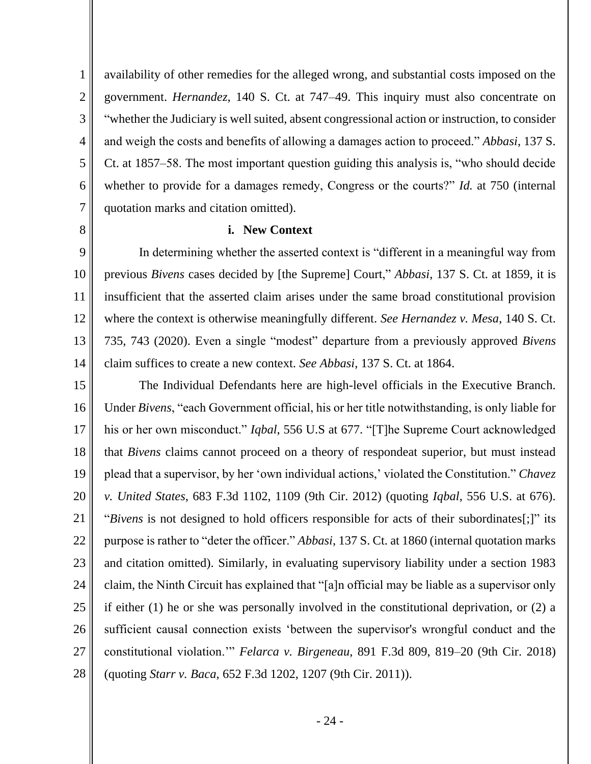availability of other remedies for the alleged wrong, and substantial costs imposed on the government. *Hernandez*, 140 S. Ct. at 747–49. This inquiry must also concentrate on "whether the Judiciary is well suited, absent congressional action or instruction, to consider and weigh the costs and benefits of allowing a damages action to proceed." *Abbasi*, 137 S. Ct. at 1857–58. The most important question guiding this analysis is, "who should decide whether to provide for a damages remedy, Congress or the courts?" *Id.* at 750 (internal quotation marks and citation omitted).

**i. New Context**

In determining whether the asserted context is "different in a meaningful way from previous *Bivens* cases decided by [the Supreme] Court," *Abbasi*, 137 S. Ct. at 1859, it is insufficient that the asserted claim arises under the same broad constitutional provision where the context is otherwise meaningfully different. *See Hernandez v. Mesa*, 140 S. Ct. 735, 743 (2020). Even a single "modest" departure from a previously approved *Bivens* claim suffices to create a new context. *See Abbasi*, 137 S. Ct. at 1864.

15 16 17 18 19 20 21 22 23 24 25 26 27 28 The Individual Defendants here are high-level officials in the Executive Branch. Under *Bivens*, "each Government official, his or her title notwithstanding, is only liable for his or her own misconduct." *Iqbal*, 556 U.S at 677. "[T]he Supreme Court acknowledged that *Bivens* claims cannot proceed on a theory of respondeat superior, but must instead plead that a supervisor, by her 'own individual actions,' violated the Constitution." *Chavez v. United States*, 683 F.3d 1102, 1109 (9th Cir. 2012) (quoting *Iqbal*, 556 U.S. at 676). "*Bivens* is not designed to hold officers responsible for acts of their subordinates[;]" its purpose is rather to "deter the officer." *Abbasi*, 137 S. Ct. at 1860 (internal quotation marks and citation omitted). Similarly, in evaluating supervisory liability under a section 1983 claim, the Ninth Circuit has explained that "[a]n official may be liable as a supervisor only if either (1) he or she was personally involved in the constitutional deprivation, or (2) a sufficient causal connection exists 'between the supervisor's wrongful conduct and the constitutional violation.'" *Felarca v. Birgeneau*, 891 F.3d 809, 819–20 (9th Cir. 2018) (quoting *Starr v. Baca*, 652 F.3d 1202, 1207 (9th Cir. 2011)).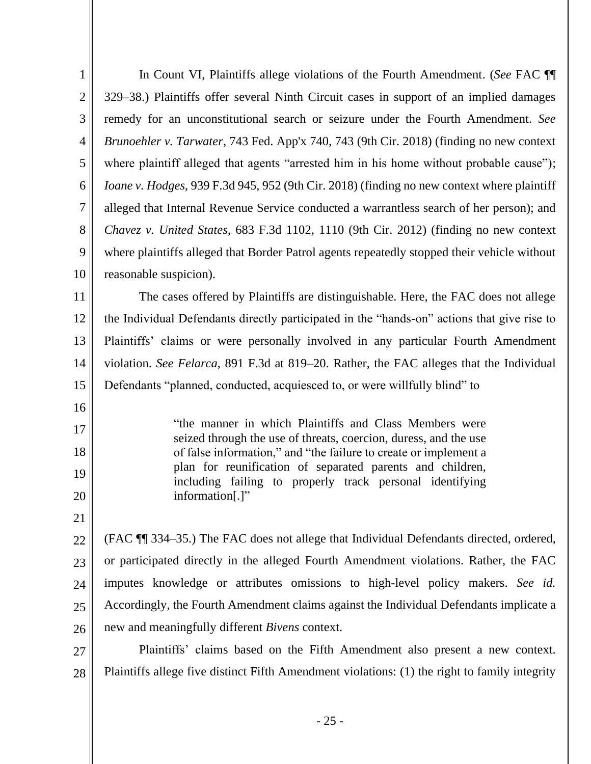| $\mathbf{1}$   | In Count VI, Plaintiffs allege violations of the Fourth Amendment. (See FAC ¶                                              |
|----------------|----------------------------------------------------------------------------------------------------------------------------|
| $\overline{2}$ | 329–38.) Plaintiffs offer several Ninth Circuit cases in support of an implied damages                                     |
| 3              | remedy for an unconstitutional search or seizure under the Fourth Amendment. See                                           |
| $\overline{4}$ | Brunoehler v. Tarwater, 743 Fed. App'x 740, 743 (9th Cir. 2018) (finding no new context                                    |
| 5              | where plaintiff alleged that agents "arrested him in his home without probable cause");                                    |
| 6              | <i>Ioane v. Hodges</i> , 939 F.3d 945, 952 (9th Cir. 2018) (finding no new context where plaintiff                         |
| $\overline{7}$ | alleged that Internal Revenue Service conducted a warrantless search of her person); and                                   |
| 8              | Chavez v. United States, 683 F.3d 1102, 1110 (9th Cir. 2012) (finding no new context                                       |
| 9              | where plaintiffs alleged that Border Patrol agents repeatedly stopped their vehicle without                                |
| 10             | reasonable suspicion).                                                                                                     |
| 11             | The cases offered by Plaintiffs are distinguishable. Here, the FAC does not allege                                         |
| 12             | the Individual Defendants directly participated in the "hands-on" actions that give rise to                                |
| 13             | Plaintiffs' claims or were personally involved in any particular Fourth Amendment                                          |
| 14             | violation. See Felarca, 891 F.3d at 819–20. Rather, the FAC alleges that the Individual                                    |
| 15             | Defendants "planned, conducted, acquiesced to, or were willfully blind" to                                                 |
|                |                                                                                                                            |
| 16             |                                                                                                                            |
| 17             | "the manner in which Plaintiffs and Class Members were<br>seized through the use of threats, coercion, duress, and the use |
| 18             | of false information," and "the failure to create or implement a                                                           |
| 19             | plan for reunification of separated parents and children,<br>including failing to properly track personal identifying      |
| 20             | information[.]"                                                                                                            |
| 21             |                                                                                                                            |
| 22             | (FAC ¶ 334–35.) The FAC does not allege that Individual Defendants directed, ordered,                                      |
| 23             | or participated directly in the alleged Fourth Amendment violations. Rather, the FAC                                       |
| 24             | imputes knowledge or attributes omissions to high-level policy makers. See id.                                             |
| 25             | Accordingly, the Fourth Amendment claims against the Individual Defendants implicate a                                     |
| 26             | new and meaningfully different <i>Bivens</i> context.                                                                      |
| 27             | Plaintiffs' claims based on the Fifth Amendment also present a new context.                                                |
| 28             | Plaintiffs allege five distinct Fifth Amendment violations: (1) the right to family integrity                              |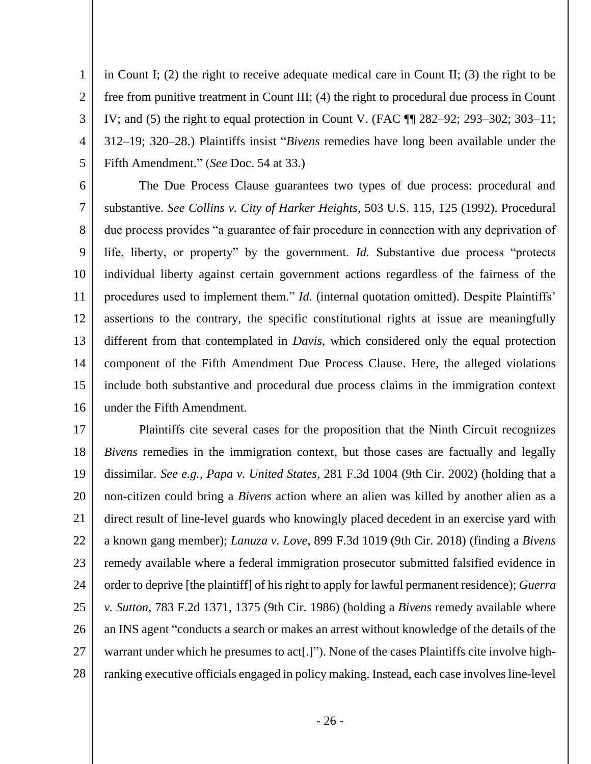4 in Count I; (2) the right to receive adequate medical care in Count II; (3) the right to be free from punitive treatment in Count III; (4) the right to procedural due process in Count IV; and (5) the right to equal protection in Count V. (FAC ¶¶ 282–92; 293–302; 303–11; 312–19; 320–28.) Plaintiffs insist "*Bivens* remedies have long been available under the Fifth Amendment." (*See* Doc. 54 at 33.)

1

2

3

5

6 7 8 9 10 11 12 13 14 15 16 The Due Process Clause guarantees two types of due process: procedural and substantive. *See Collins v. City of Harker Heights*, 503 U.S. 115, 125 (1992). Procedural due process provides "a guarantee of fair procedure in connection with any deprivation of life, liberty, or property" by the government. *Id.* Substantive due process "protects individual liberty against certain government actions regardless of the fairness of the procedures used to implement them." *Id.* (internal quotation omitted). Despite Plaintiffs' assertions to the contrary, the specific constitutional rights at issue are meaningfully different from that contemplated in *Davis*, which considered only the equal protection component of the Fifth Amendment Due Process Clause. Here, the alleged violations include both substantive and procedural due process claims in the immigration context under the Fifth Amendment.

17 18 19 20 21 22 23 24 25 26 27 28 Plaintiffs cite several cases for the proposition that the Ninth Circuit recognizes *Bivens* remedies in the immigration context, but those cases are factually and legally dissimilar. *See e.g., Papa v. United States*, 281 F.3d 1004 (9th Cir. 2002) (holding that a non-citizen could bring a *Bivens* action where an alien was killed by another alien as a direct result of line-level guards who knowingly placed decedent in an exercise yard with a known gang member); *Lanuza v. Love*, 899 F.3d 1019 (9th Cir. 2018) (finding a *Bivens* remedy available where a federal immigration prosecutor submitted falsified evidence in order to deprive [the plaintiff] of his right to apply for lawful permanent residence); *Guerra v. Sutton*, 783 F.2d 1371, 1375 (9th Cir. 1986) (holding a *Bivens* remedy available where an INS agent "conducts a search or makes an arrest without knowledge of the details of the warrant under which he presumes to act[.]"). None of the cases Plaintiffs cite involve highranking executive officials engaged in policy making. Instead, each case involves line-level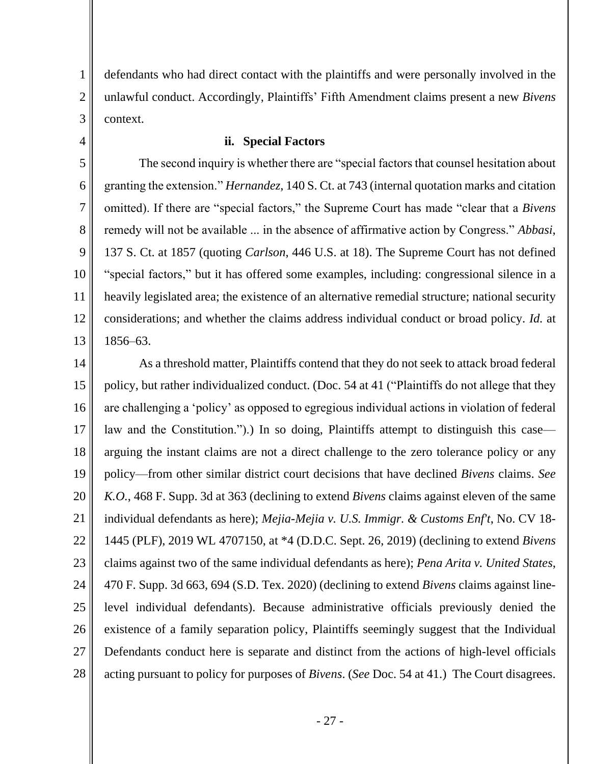defendants who had direct contact with the plaintiffs and were personally involved in the unlawful conduct. Accordingly, Plaintiffs' Fifth Amendment claims present a new *Bivens* context.

4

5

6

7

8

9

10

11

12

13

1

2

3

#### **ii. Special Factors**

The second inquiry is whether there are "special factors that counsel hesitation about granting the extension." *Hernandez*, 140 S. Ct. at 743 (internal quotation marks and citation omitted). If there are "special factors," the Supreme Court has made "clear that a *Bivens* remedy will not be available ... in the absence of affirmative action by Congress." *Abbasi*, 137 S. Ct. at 1857 (quoting *Carlson*, 446 U.S. at 18). The Supreme Court has not defined "special factors," but it has offered some examples, including: congressional silence in a heavily legislated area; the existence of an alternative remedial structure; national security considerations; and whether the claims address individual conduct or broad policy. *Id.* at 1856–63.

14 15 16 17 18 19 20 21 22 23 24 25 26 27 28 As a threshold matter, Plaintiffs contend that they do not seek to attack broad federal policy, but rather individualized conduct. (Doc. 54 at 41 ("Plaintiffs do not allege that they are challenging a 'policy' as opposed to egregious individual actions in violation of federal law and the Constitution.").) In so doing, Plaintiffs attempt to distinguish this case arguing the instant claims are not a direct challenge to the zero tolerance policy or any policy—from other similar district court decisions that have declined *Bivens* claims. *See K.O.*, 468 F. Supp. 3d at 363 (declining to extend *Bivens* claims against eleven of the same individual defendants as here); *Mejia-Mejia v. U.S. Immigr. & Customs Enf't*, No. CV 18- 1445 (PLF), 2019 WL 4707150, at \*4 (D.D.C. Sept. 26, 2019) (declining to extend *Bivens* claims against two of the same individual defendants as here); *Pena Arita v. United States*, 470 F. Supp. 3d 663, 694 (S.D. Tex. 2020) (declining to extend *Bivens* claims against linelevel individual defendants). Because administrative officials previously denied the existence of a family separation policy, Plaintiffs seemingly suggest that the Individual Defendants conduct here is separate and distinct from the actions of high-level officials acting pursuant to policy for purposes of *Bivens*. (*See* Doc. 54 at 41.) The Court disagrees.

- 27 -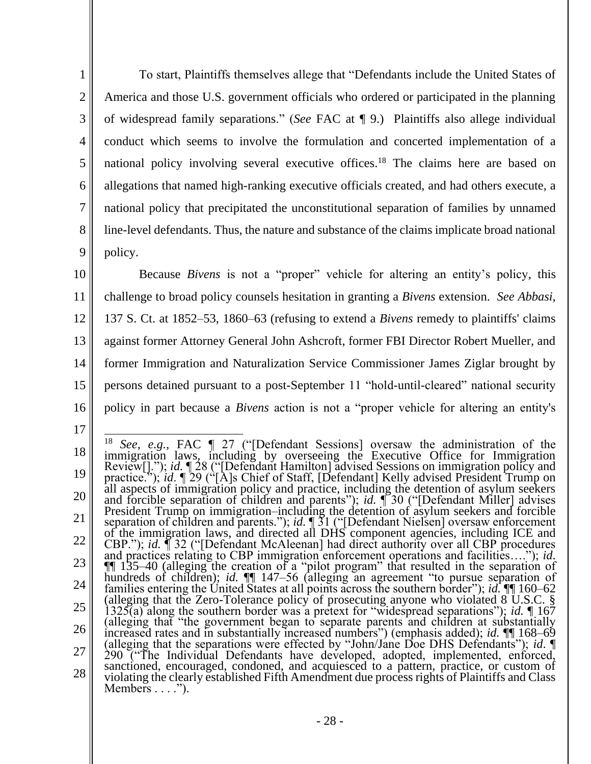To start, Plaintiffs themselves allege that "Defendants include the United States of America and those U.S. government officials who ordered or participated in the planning of widespread family separations." (*See* FAC at ¶ 9.) Plaintiffs also allege individual conduct which seems to involve the formulation and concerted implementation of a national policy involving several executive offices.<sup>18</sup> The claims here are based on allegations that named high-ranking executive officials created, and had others execute, a national policy that precipitated the unconstitutional separation of families by unnamed line-level defendants. Thus, the nature and substance of the claims implicate broad national policy.

1

2

3

4

5

6

7

8

9

17

10 11 12 13 14 15 16 Because *Bivens* is not a "proper" vehicle for altering an entity's policy, this challenge to broad policy counsels hesitation in granting a *Bivens* extension. *See Abbasi*, 137 S. Ct. at 1852–53, 1860–63 (refusing to extend a *Bivens* remedy to plaintiffs' claims against former Attorney General John Ashcroft, former FBI Director Robert Mueller, and former Immigration and Naturalization Service Commissioner James Ziglar brought by persons detained pursuant to a post-September 11 "hold-until-cleared" national security policy in part because a *Bivens* action is not a "proper vehicle for altering an entity's

<sup>18</sup> 19 20 21 22 23 24 25 26 27 28 <sup>18</sup> *See, e.g.,* FAC ¶ 27 ("[Defendant Sessions] oversaw the administration of the immigration laws, including by overseeing the Executive Office for Immigration Review[]."); *id.*  $\sqrt{28}$  ("[Defendant Hamilton] advised Sessions on immigration policy and practice."); *id*. ¶ 29 ("[A]s Chief of Staff, [Defendant] Kelly advised President Trump on all aspects of immigration policy and practice, including the detention of asylum seekers and forcible separation of children and parents"); *id.* ¶ 30 ("[Defendant Miller] advises President Trump on immigration–including the detention of asylum seekers and forcible separation of children and parents."); *id.*  $\sqrt{31}$  ("[Defendant Nielsen] oversaw enforcement of the immigration laws, and directed all DHS component agencies, including ICE and CBP."); *id.* ¶ 32 ("[Defendant McAleenan] had direct authority over all CBP procedures and practices relating to CBP immigration enforcement operations and facilities…."); *id*. ¶¶ 135–40 (alleging the creation of a "pilot program" that resulted in the separation of hundreds of children); *id.* ¶¶ 147–56 (alleging an agreement "to pursue separation of families entering the United States at all points across the southern border"); *id.* ¶¶ 160–62 (alleging that the Zero-Tolerance policy of prosecuting anyone who violated  $8^{\circ}$ U.S.C. § 1325(a) along the southern border was a pretext for "widespread separations"); *id.* ¶ 167 (alleging that "the government began to separate parents and children at substantially increased rates and in substantially increased numbers") (emphasis added); *id.* ¶¶ 168–69 (alleging that the separations were effected by "John/Jane Doe DHS Defendants"); *id*. ¶ 290 ("The Individual Defendants have developed, adopted, implemented, enforced, sanctioned, encouraged, condoned, and acquiesced to a pattern, practice, or custom of violating the clearly established Fifth Amendment due process rights of Plaintiffs and Class Members  $\dots$ .").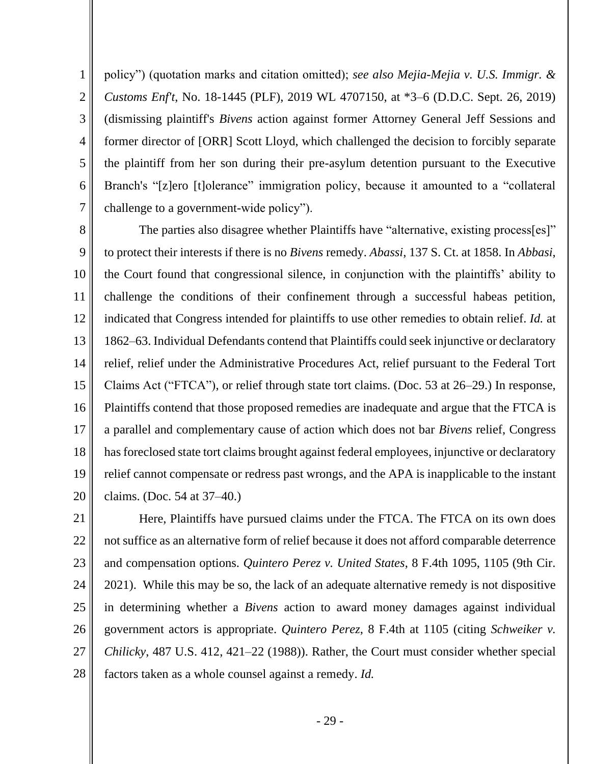policy") (quotation marks and citation omitted); *see also Mejia-Mejia v. U.S. Immigr. & Customs Enf't*, No. 18-1445 (PLF), 2019 WL 4707150, at \*3–6 (D.D.C. Sept. 26, 2019) (dismissing plaintiff's *Bivens* action against former Attorney General Jeff Sessions and former director of [ORR] Scott Lloyd, which challenged the decision to forcibly separate the plaintiff from her son during their pre-asylum detention pursuant to the Executive Branch's "[z]ero [t]olerance" immigration policy, because it amounted to a "collateral challenge to a government-wide policy").

1

2

3

4

5

6

7

8 9 10 11 12 13 14 15 16 17 18 19 20 The parties also disagree whether Plaintiffs have "alternative, existing process[es]" to protect their interests if there is no *Bivens* remedy. *Abassi*, 137 S. Ct. at 1858. In *Abbasi*, the Court found that congressional silence, in conjunction with the plaintiffs' ability to challenge the conditions of their confinement through a successful habeas petition, indicated that Congress intended for plaintiffs to use other remedies to obtain relief. *Id.* at 1862–63. Individual Defendants contend that Plaintiffs could seek injunctive or declaratory relief, relief under the Administrative Procedures Act, relief pursuant to the Federal Tort Claims Act ("FTCA"), or relief through state tort claims. (Doc. 53 at 26–29.) In response, Plaintiffs contend that those proposed remedies are inadequate and argue that the FTCA is a parallel and complementary cause of action which does not bar *Bivens* relief, Congress has foreclosed state tort claims brought against federal employees, injunctive or declaratory relief cannot compensate or redress past wrongs, and the APA is inapplicable to the instant claims. (Doc. 54 at 37–40.)

21 22 23 24 25 26 27 28 Here, Plaintiffs have pursued claims under the FTCA. The FTCA on its own does not suffice as an alternative form of relief because it does not afford comparable deterrence and compensation options. *Quintero Perez v. United States*, 8 F.4th 1095, 1105 (9th Cir. 2021). While this may be so, the lack of an adequate alternative remedy is not dispositive in determining whether a *Bivens* action to award money damages against individual government actors is appropriate. *Quintero Perez*, 8 F.4th at 1105 (citing *Schweiker v. Chilicky*, 487 U.S. 412, 421–22 (1988)). Rather, the Court must consider whether special factors taken as a whole counsel against a remedy. *Id.*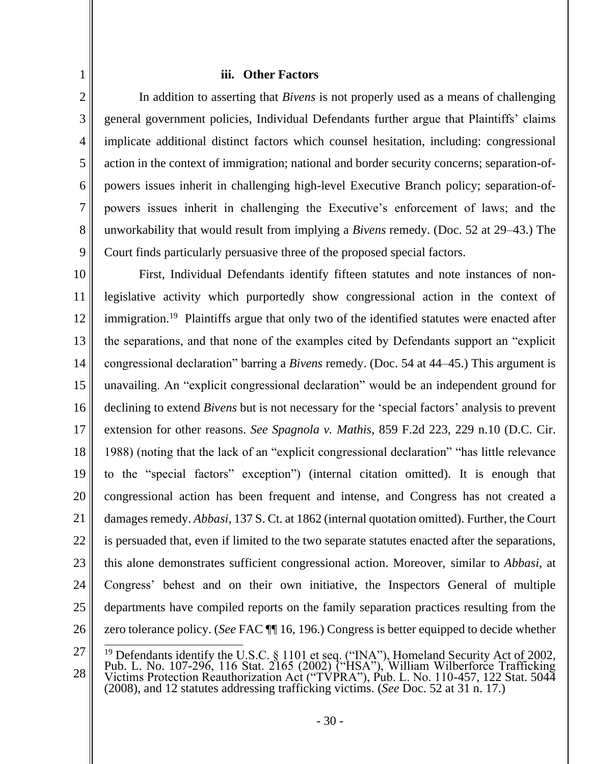## **iii. Other Factors**

1

2

3

4

5

6

7

8

9

In addition to asserting that *Bivens* is not properly used as a means of challenging general government policies, Individual Defendants further argue that Plaintiffs' claims implicate additional distinct factors which counsel hesitation, including: congressional action in the context of immigration; national and border security concerns; separation-ofpowers issues inherit in challenging high-level Executive Branch policy; separation-ofpowers issues inherit in challenging the Executive's enforcement of laws; and the unworkability that would result from implying a *Bivens* remedy. (Doc. 52 at 29–43.) The Court finds particularly persuasive three of the proposed special factors.

10 11 12 13 14 15 16 17 18 19 20 21 22 23 24 25 26 First, Individual Defendants identify fifteen statutes and note instances of nonlegislative activity which purportedly show congressional action in the context of immigration.<sup>19</sup> Plaintiffs argue that only two of the identified statutes were enacted after the separations, and that none of the examples cited by Defendants support an "explicit congressional declaration" barring a *Bivens* remedy. (Doc. 54 at 44–45.) This argument is unavailing. An "explicit congressional declaration" would be an independent ground for declining to extend *Bivens* but is not necessary for the 'special factors' analysis to prevent extension for other reasons. *See Spagnola v. Mathis*, 859 F.2d 223, 229 n.10 (D.C. Cir. 1988) (noting that the lack of an "explicit congressional declaration" "has little relevance to the "special factors" exception") (internal citation omitted). It is enough that congressional action has been frequent and intense, and Congress has not created a damages remedy. *Abbasi*, 137 S. Ct. at 1862 (internal quotation omitted). Further, the Court is persuaded that, even if limited to the two separate statutes enacted after the separations, this alone demonstrates sufficient congressional action. Moreover, similar to *Abbasi*, at Congress' behest and on their own initiative, the Inspectors General of multiple departments have compiled reports on the family separation practices resulting from the zero tolerance policy. (*See* FAC ¶¶ 16, 196.) Congress is better equipped to decide whether

<sup>27</sup> 28 <sup>19</sup> Defendants identify the U.S.C.  $\S$  1101 et seq. ("INA"), Homeland Security Act of 2002, Pub. L. No. 107-296, 116 Stat. 2165 (2002) ("HSA"), William Wilberforce Trafficking Victims Protection Reauthorization Act ("TVPRA"), Pub. L. No. 110-457, 122 Stat. 5044 (2008), and 12 statutes addressing trafficking victims. (*See* Doc. 52 at 31 n. 17.)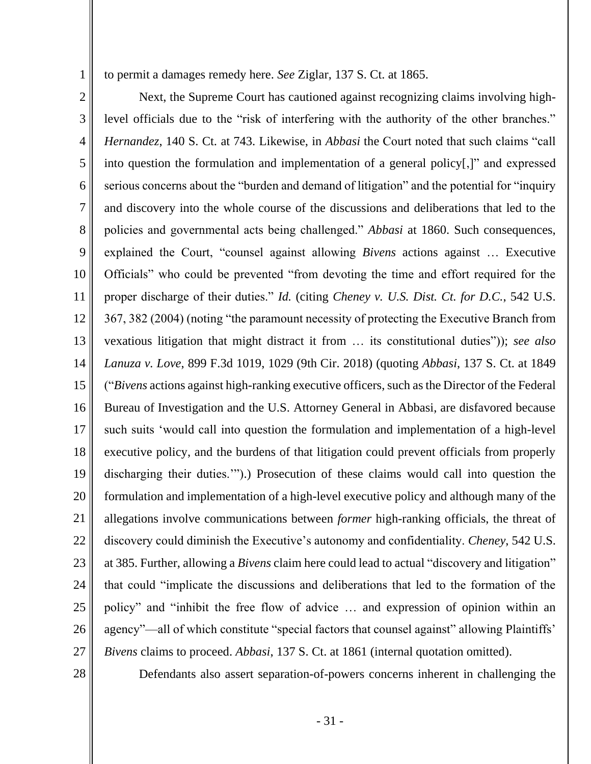to permit a damages remedy here. *See* Ziglar, 137 S. Ct. at 1865.

2 3 4 5 6 7 8 9 10 11 12 13 14 15 16 17 18 19 20 21 22 23 24 25 26 27 Next, the Supreme Court has cautioned against recognizing claims involving highlevel officials due to the "risk of interfering with the authority of the other branches." *Hernandez*, 140 S. Ct. at 743. Likewise, in *Abbasi* the Court noted that such claims "call into question the formulation and implementation of a general policy[,]" and expressed serious concerns about the "burden and demand of litigation" and the potential for "inquiry and discovery into the whole course of the discussions and deliberations that led to the policies and governmental acts being challenged." *Abbasi* at 1860. Such consequences, explained the Court, "counsel against allowing *Bivens* actions against … Executive Officials" who could be prevented "from devoting the time and effort required for the proper discharge of their duties." *Id.* (citing *Cheney v. U.S. Dist. Ct. for D.C.*, 542 U.S. 367, 382 (2004) (noting "the paramount necessity of protecting the Executive Branch from vexatious litigation that might distract it from … its constitutional duties")); *see also Lanuza v. Love*, 899 F.3d 1019, 1029 (9th Cir. 2018) (quoting *Abbasi*, 137 S. Ct. at 1849 ("*Bivens* actions against high-ranking executive officers, such as the Director of the Federal Bureau of Investigation and the U.S. Attorney General in Abbasi, are disfavored because such suits 'would call into question the formulation and implementation of a high-level executive policy, and the burdens of that litigation could prevent officials from properly discharging their duties.'").) Prosecution of these claims would call into question the formulation and implementation of a high-level executive policy and although many of the allegations involve communications between *former* high-ranking officials, the threat of discovery could diminish the Executive's autonomy and confidentiality. *Cheney*, 542 U.S. at 385. Further, allowing a *Bivens* claim here could lead to actual "discovery and litigation" that could "implicate the discussions and deliberations that led to the formation of the policy" and "inhibit the free flow of advice … and expression of opinion within an agency"—all of which constitute "special factors that counsel against" allowing Plaintiffs' *Bivens* claims to proceed. *Abbasi*, 137 S. Ct. at 1861 (internal quotation omitted).

28

1

Defendants also assert separation-of-powers concerns inherent in challenging the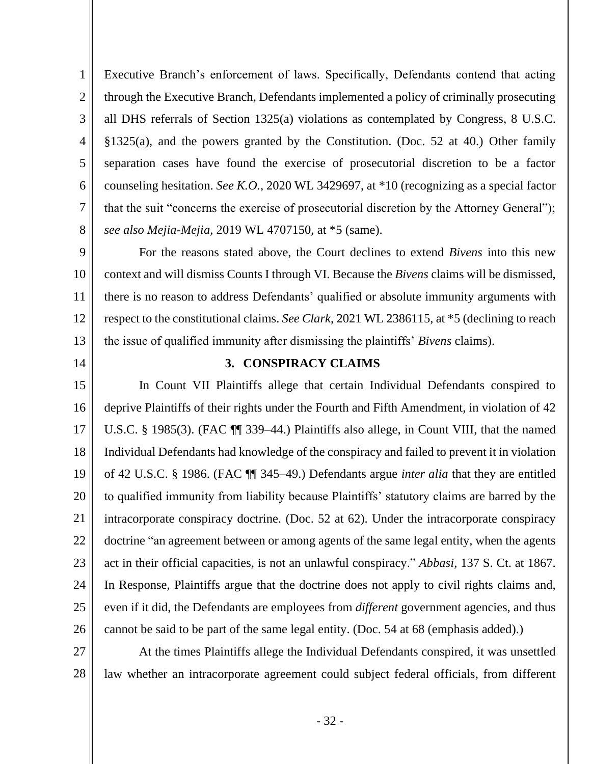1 2 3 4 5 6 7 8 Executive Branch's enforcement of laws. Specifically, Defendants contend that acting through the Executive Branch, Defendants implemented a policy of criminally prosecuting all DHS referrals of Section 1325(a) violations as contemplated by Congress, 8 U.S.C. §1325(a), and the powers granted by the Constitution. (Doc. 52 at 40.) Other family separation cases have found the exercise of prosecutorial discretion to be a factor counseling hesitation. *See K.O.*, 2020 WL 3429697, at \*10 (recognizing as a special factor that the suit "concerns the exercise of prosecutorial discretion by the Attorney General"); *see also Mejia-Mejia*, 2019 WL 4707150, at \*5 (same).

9 10 11 12 13 For the reasons stated above, the Court declines to extend *Bivens* into this new context and will dismiss Counts I through VI. Because the *Bivens* claims will be dismissed, there is no reason to address Defendants' qualified or absolute immunity arguments with respect to the constitutional claims. *See Clark*, 2021 WL 2386115, at \*5 (declining to reach the issue of qualified immunity after dismissing the plaintiffs' *Bivens* claims).

14

## **3. CONSPIRACY CLAIMS**

15 16 17 18 19 20 21 22 23 24 25 26 In Count VII Plaintiffs allege that certain Individual Defendants conspired to deprive Plaintiffs of their rights under the Fourth and Fifth Amendment, in violation of 42 U.S.C. § 1985(3). (FAC ¶¶ 339–44.) Plaintiffs also allege, in Count VIII, that the named Individual Defendants had knowledge of the conspiracy and failed to prevent it in violation of 42 U.S.C. § 1986. (FAC ¶¶ 345–49.) Defendants argue *inter alia* that they are entitled to qualified immunity from liability because Plaintiffs' statutory claims are barred by the intracorporate conspiracy doctrine. (Doc. 52 at 62). Under the intracorporate conspiracy doctrine "an agreement between or among agents of the same legal entity, when the agents act in their official capacities, is not an unlawful conspiracy." *Abbasi*, 137 S. Ct. at 1867. In Response, Plaintiffs argue that the doctrine does not apply to civil rights claims and, even if it did, the Defendants are employees from *different* government agencies, and thus cannot be said to be part of the same legal entity. (Doc. 54 at 68 (emphasis added).)

27 28 At the times Plaintiffs allege the Individual Defendants conspired, it was unsettled law whether an intracorporate agreement could subject federal officials, from different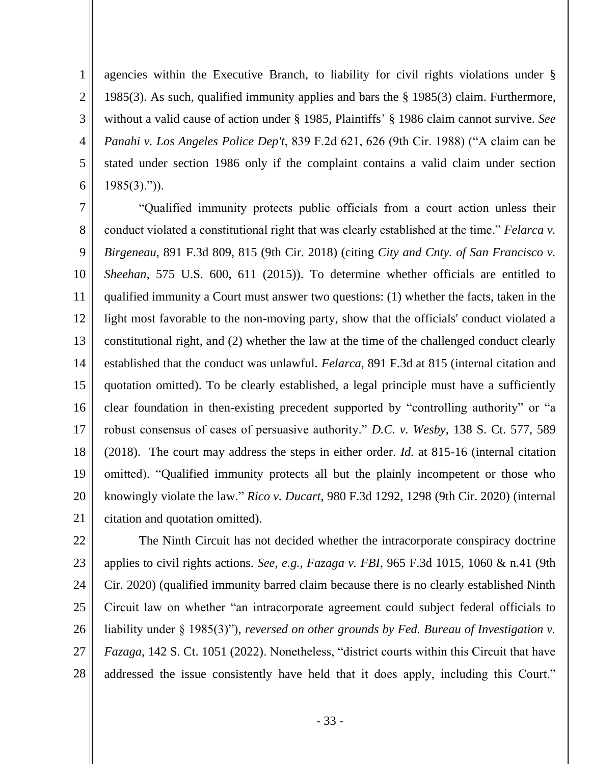1 2 3 4 5 6 agencies within the Executive Branch, to liability for civil rights violations under § 1985(3). As such, qualified immunity applies and bars the § 1985(3) claim. Furthermore, without a valid cause of action under § 1985, Plaintiffs' § 1986 claim cannot survive. *See Panahi v. Los Angeles Police Dep't*, 839 F.2d 621, 626 (9th Cir. 1988) ("A claim can be stated under section 1986 only if the complaint contains a valid claim under section 1985(3).")).

7 8 9 10 11 12 13 14 15 16 17 18 19 20 21 "Qualified immunity protects public officials from a court action unless their conduct violated a constitutional right that was clearly established at the time." *Felarca v. Birgeneau*, 891 F.3d 809, 815 (9th Cir. 2018) (citing *City and Cnty. of San Francisco v. Sheehan*, 575 U.S. 600, 611 (2015)). To determine whether officials are entitled to qualified immunity a Court must answer two questions: (1) whether the facts, taken in the light most favorable to the non-moving party, show that the officials' conduct violated a constitutional right, and (2) whether the law at the time of the challenged conduct clearly established that the conduct was unlawful. *Felarca*, 891 F.3d at 815 (internal citation and quotation omitted). To be clearly established, a legal principle must have a sufficiently clear foundation in then-existing precedent supported by "controlling authority" or "a robust consensus of cases of persuasive authority." *D.C. v. Wesby*, 138 S. Ct. 577, 589 (2018). The court may address the steps in either order. *Id.* at 815-16 (internal citation omitted). "Qualified immunity protects all but the plainly incompetent or those who knowingly violate the law." *Rico v. Ducart*, 980 F.3d 1292, 1298 (9th Cir. 2020) (internal citation and quotation omitted).

22 23 24 25 26 27 28 The Ninth Circuit has not decided whether the intracorporate conspiracy doctrine applies to civil rights actions. *See, e.g., Fazaga v. FBI*, 965 F.3d 1015, 1060 & n.41 (9th Cir. 2020) (qualified immunity barred claim because there is no clearly established Ninth Circuit law on whether "an intracorporate agreement could subject federal officials to liability under § 1985(3)"), *reversed on other grounds by Fed. Bureau of Investigation v. Fazaga*, 142 S. Ct. 1051 (2022). Nonetheless, "district courts within this Circuit that have addressed the issue consistently have held that it does apply, including this Court."

- 33 -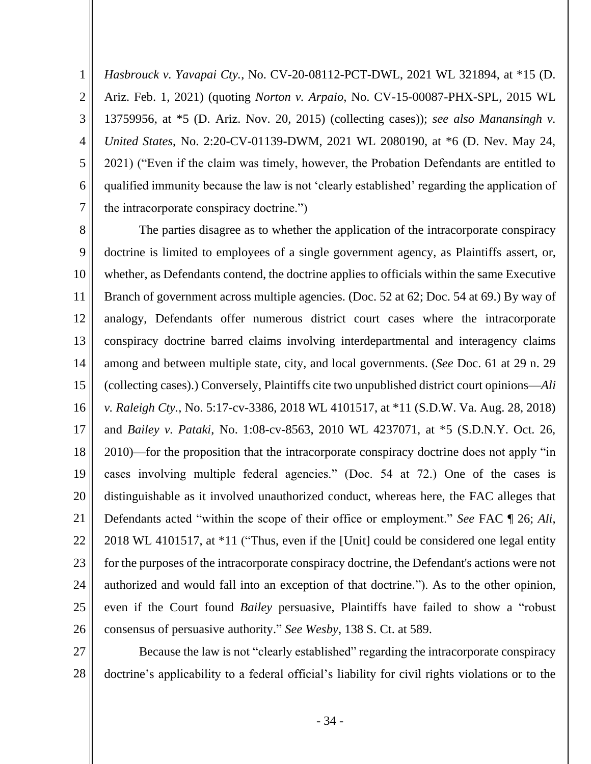4 5 6 7 *Hasbrouck v. Yavapai Cty.*, No. CV-20-08112-PCT-DWL, 2021 WL 321894, at \*15 (D. Ariz. Feb. 1, 2021) (quoting *Norton v. Arpaio*, No. CV-15-00087-PHX-SPL, 2015 WL 13759956, at \*5 (D. Ariz. Nov. 20, 2015) (collecting cases)); *see also Manansingh v. United States*, No. 2:20-CV-01139-DWM, 2021 WL 2080190, at \*6 (D. Nev. May 24, 2021) ("Even if the claim was timely, however, the Probation Defendants are entitled to qualified immunity because the law is not 'clearly established' regarding the application of the intracorporate conspiracy doctrine.")

1

2

3

8 9 10 11 12 13 14 15 16 17 18 19 20 21 22 23 24 25 26 The parties disagree as to whether the application of the intracorporate conspiracy doctrine is limited to employees of a single government agency, as Plaintiffs assert, or, whether, as Defendants contend, the doctrine applies to officials within the same Executive Branch of government across multiple agencies. (Doc. 52 at 62; Doc. 54 at 69.) By way of analogy, Defendants offer numerous district court cases where the intracorporate conspiracy doctrine barred claims involving interdepartmental and interagency claims among and between multiple state, city, and local governments. (*See* Doc. 61 at 29 n. 29 (collecting cases).) Conversely, Plaintiffs cite two unpublished district court opinions—*Ali v. Raleigh Cty.*, No. 5:17-cv-3386, 2018 WL 4101517, at \*11 (S.D.W. Va. Aug. 28, 2018) and *Bailey v. Pataki*, No. 1:08-cv-8563, 2010 WL 4237071, at \*5 (S.D.N.Y. Oct. 26, 2010)—for the proposition that the intracorporate conspiracy doctrine does not apply "in cases involving multiple federal agencies." (Doc. 54 at 72.) One of the cases is distinguishable as it involved unauthorized conduct, whereas here, the FAC alleges that Defendants acted "within the scope of their office or employment." *See* FAC ¶ 26; *Ali*, 2018 WL 4101517, at \*11 ("Thus, even if the [Unit] could be considered one legal entity for the purposes of the intracorporate conspiracy doctrine, the Defendant's actions were not authorized and would fall into an exception of that doctrine."). As to the other opinion, even if the Court found *Bailey* persuasive, Plaintiffs have failed to show a "robust consensus of persuasive authority." *See Wesby*, 138 S. Ct. at 589.

27 28 Because the law is not "clearly established" regarding the intracorporate conspiracy doctrine's applicability to a federal official's liability for civil rights violations or to the